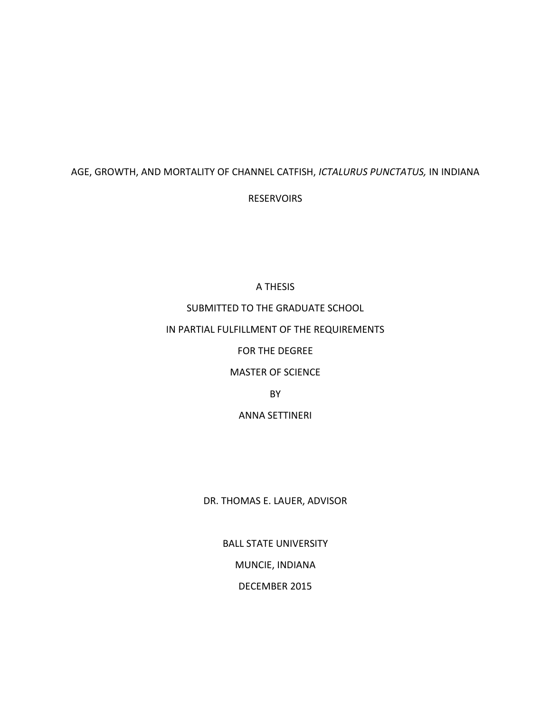### AGE, GROWTH, AND MORTALITY OF CHANNEL CATFISH, *ICTALURUS PUNCTATUS,* IN INDIANA

### **RESERVOIRS**

### A THESIS

## SUBMITTED TO THE GRADUATE SCHOOL

### IN PARTIAL FULFILLMENT OF THE REQUIREMENTS

### FOR THE DEGREE

### MASTER OF SCIENCE

### BY

## ANNA SETTINERI

### DR. THOMAS E. LAUER, ADVISOR

## BALL STATE UNIVERSITY

# MUNCIE, INDIANA

### DECEMBER 2015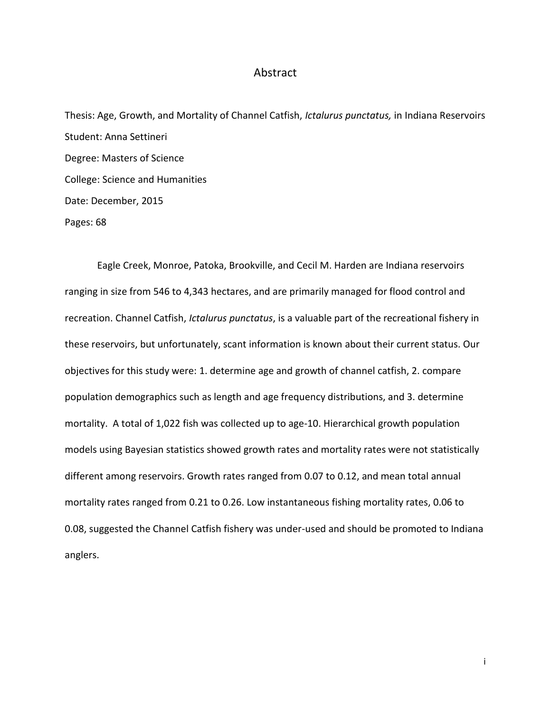### Abstract

Thesis: Age, Growth, and Mortality of Channel Catfish, *Ictalurus punctatus,* in Indiana Reservoirs Student: Anna Settineri Degree: Masters of Science College: Science and Humanities Date: December, 2015 Pages: 68

Eagle Creek, Monroe, Patoka, Brookville, and Cecil M. Harden are Indiana reservoirs ranging in size from 546 to 4,343 hectares, and are primarily managed for flood control and recreation. Channel Catfish, *Ictalurus punctatus*, is a valuable part of the recreational fishery in these reservoirs, but unfortunately, scant information is known about their current status. Our objectives for this study were: 1. determine age and growth of channel catfish, 2. compare population demographics such as length and age frequency distributions, and 3. determine mortality. A total of 1,022 fish was collected up to age-10. Hierarchical growth population models using Bayesian statistics showed growth rates and mortality rates were not statistically different among reservoirs. Growth rates ranged from 0.07 to 0.12, and mean total annual mortality rates ranged from 0.21 to 0.26. Low instantaneous fishing mortality rates, 0.06 to 0.08, suggested the Channel Catfish fishery was under-used and should be promoted to Indiana anglers.

i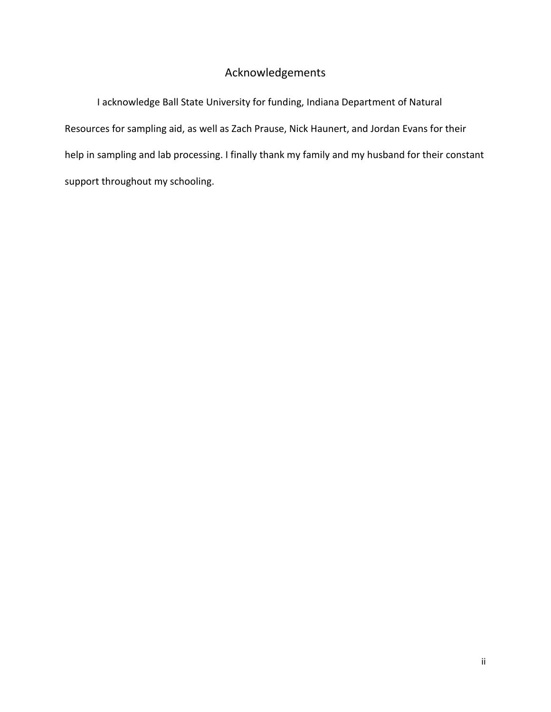# Acknowledgements

I acknowledge Ball State University for funding, Indiana Department of Natural Resources for sampling aid, as well as Zach Prause, Nick Haunert, and Jordan Evans for their help in sampling and lab processing. I finally thank my family and my husband for their constant support throughout my schooling.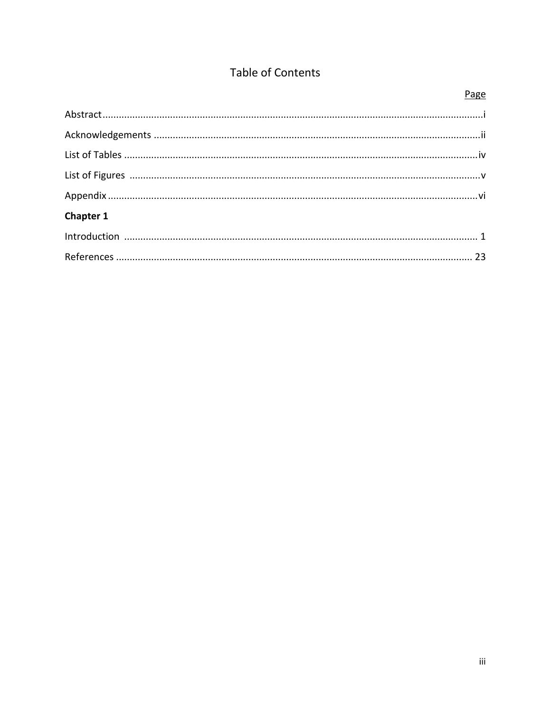# Table of Contents

|           | Page |
|-----------|------|
|           |      |
|           |      |
|           |      |
|           |      |
|           |      |
| Chapter 1 |      |
|           |      |
|           |      |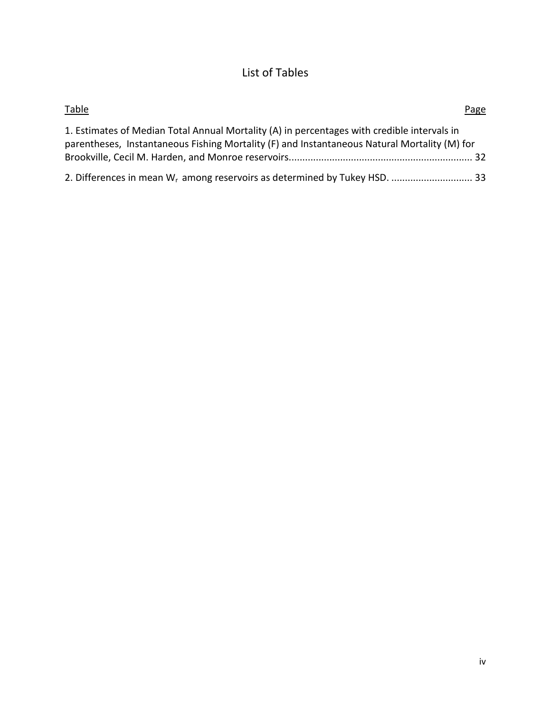# List of Tables

| <b>Table</b>                                                                                                                                                                                | Page |
|---------------------------------------------------------------------------------------------------------------------------------------------------------------------------------------------|------|
| 1. Estimates of Median Total Annual Mortality (A) in percentages with credible intervals in<br>parentheses, Instantaneous Fishing Mortality (F) and Instantaneous Natural Mortality (M) for |      |
|                                                                                                                                                                                             |      |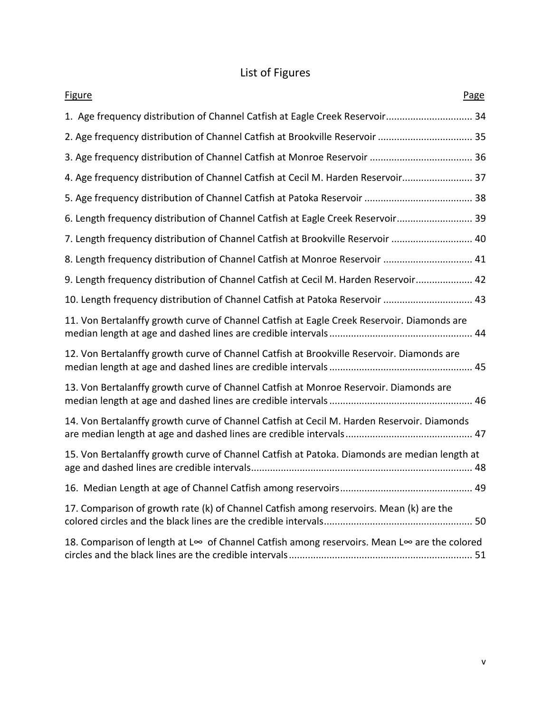# List of Figures

| <b>Figure</b><br>Page                                                                        |
|----------------------------------------------------------------------------------------------|
| 1. Age frequency distribution of Channel Catfish at Eagle Creek Reservoir 34                 |
| 2. Age frequency distribution of Channel Catfish at Brookville Reservoir  35                 |
|                                                                                              |
| 4. Age frequency distribution of Channel Catfish at Cecil M. Harden Reservoir 37             |
|                                                                                              |
| 6. Length frequency distribution of Channel Catfish at Eagle Creek Reservoir 39              |
| 7. Length frequency distribution of Channel Catfish at Brookville Reservoir  40              |
| 8. Length frequency distribution of Channel Catfish at Monroe Reservoir  41                  |
| 9. Length frequency distribution of Channel Catfish at Cecil M. Harden Reservoir 42          |
| 10. Length frequency distribution of Channel Catfish at Patoka Reservoir  43                 |
| 11. Von Bertalanffy growth curve of Channel Catfish at Eagle Creek Reservoir. Diamonds are   |
| 12. Von Bertalanffy growth curve of Channel Catfish at Brookville Reservoir. Diamonds are    |
| 13. Von Bertalanffy growth curve of Channel Catfish at Monroe Reservoir. Diamonds are        |
| 14. Von Bertalanffy growth curve of Channel Catfish at Cecil M. Harden Reservoir. Diamonds   |
| 15. Von Bertalanffy growth curve of Channel Catfish at Patoka. Diamonds are median length at |
|                                                                                              |
| 17. Comparison of growth rate (k) of Channel Catfish among reservoirs. Mean (k) are the      |
| 18. Comparison of length at L∞ of Channel Catfish among reservoirs. Mean L∞ are the colored  |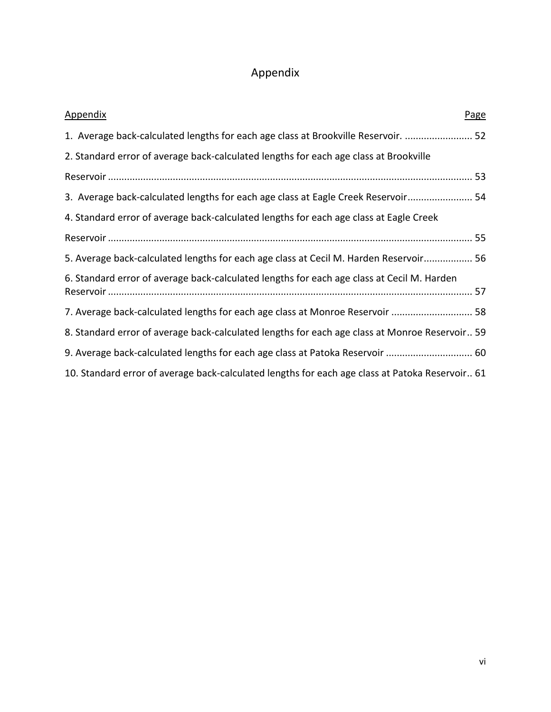# Appendix

| <b>Appendix</b><br>Page                                                                         |
|-------------------------------------------------------------------------------------------------|
| 1. Average back-calculated lengths for each age class at Brookville Reservoir.  52              |
| 2. Standard error of average back-calculated lengths for each age class at Brookville           |
|                                                                                                 |
| 3. Average back-calculated lengths for each age class at Eagle Creek Reservoir 54               |
| 4. Standard error of average back-calculated lengths for each age class at Eagle Creek          |
|                                                                                                 |
| 5. Average back-calculated lengths for each age class at Cecil M. Harden Reservoir 56           |
| 6. Standard error of average back-calculated lengths for each age class at Cecil M. Harden      |
| 7. Average back-calculated lengths for each age class at Monroe Reservoir  58                   |
| 8. Standard error of average back-calculated lengths for each age class at Monroe Reservoir 59  |
| 9. Average back-calculated lengths for each age class at Patoka Reservoir  60                   |
| 10. Standard error of average back-calculated lengths for each age class at Patoka Reservoir 61 |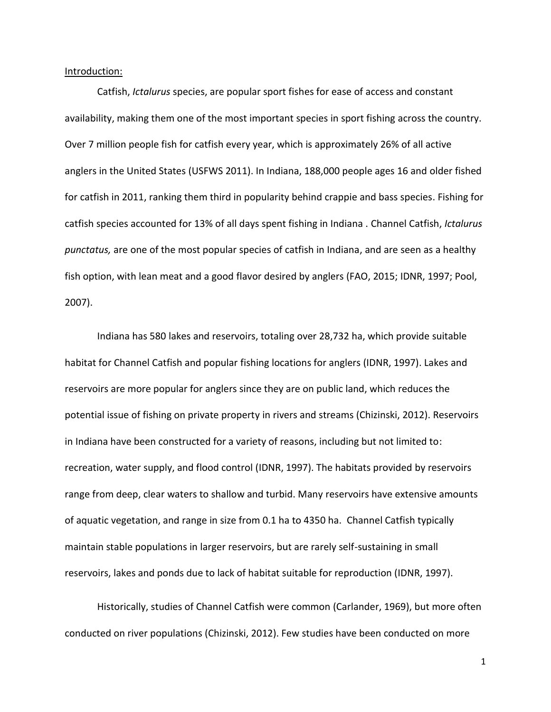Introduction:

Catfish, *Ictalurus* species, are popular sport fishes for ease of access and constant availability, making them one of the most important species in sport fishing across the country. Over 7 million people fish for catfish every year, which is approximately 26% of all active anglers in the United States (USFWS 2011). In Indiana, 188,000 people ages 16 and older fished for catfish in 2011, ranking them third in popularity behind crappie and bass species. Fishing for catfish species accounted for 13% of all days spent fishing in Indiana . Channel Catfish, *Ictalurus punctatus,* are one of the most popular species of catfish in Indiana, and are seen as a healthy fish option, with lean meat and a good flavor desired by anglers (FAO, 2015; IDNR, 1997; Pool, 2007).

Indiana has 580 lakes and reservoirs, totaling over 28,732 ha, which provide suitable habitat for Channel Catfish and popular fishing locations for anglers (IDNR, 1997). Lakes and reservoirs are more popular for anglers since they are on public land, which reduces the potential issue of fishing on private property in rivers and streams (Chizinski, 2012). Reservoirs in Indiana have been constructed for a variety of reasons, including but not limited to: recreation, water supply, and flood control (IDNR, 1997). The habitats provided by reservoirs range from deep, clear waters to shallow and turbid. Many reservoirs have extensive amounts of aquatic vegetation, and range in size from 0.1 ha to 4350 ha. Channel Catfish typically maintain stable populations in larger reservoirs, but are rarely self-sustaining in small reservoirs, lakes and ponds due to lack of habitat suitable for reproduction (IDNR, 1997).

Historically, studies of Channel Catfish were common (Carlander, 1969), but more often conducted on river populations (Chizinski, 2012). Few studies have been conducted on more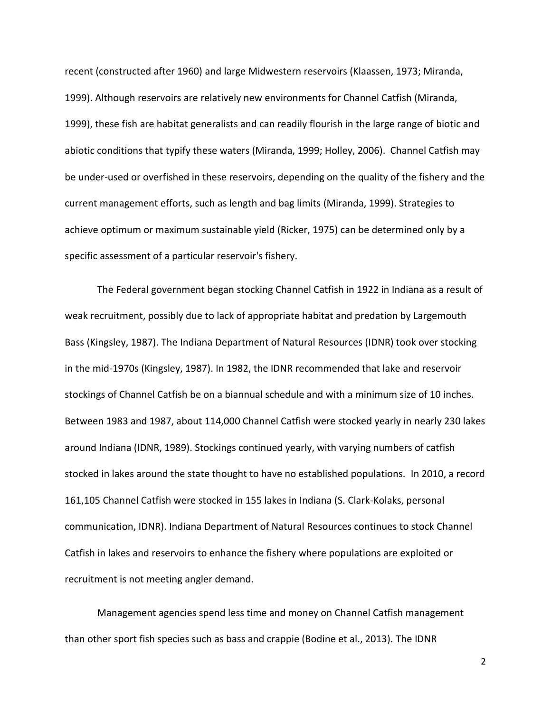recent (constructed after 1960) and large Midwestern reservoirs (Klaassen, 1973; Miranda, 1999). Although reservoirs are relatively new environments for Channel Catfish (Miranda, 1999), these fish are habitat generalists and can readily flourish in the large range of biotic and abiotic conditions that typify these waters (Miranda, 1999; Holley, 2006). Channel Catfish may be under-used or overfished in these reservoirs, depending on the quality of the fishery and the current management efforts, such as length and bag limits (Miranda, 1999). Strategies to achieve optimum or maximum sustainable yield (Ricker, 1975) can be determined only by a specific assessment of a particular reservoir's fishery.

The Federal government began stocking Channel Catfish in 1922 in Indiana as a result of weak recruitment, possibly due to lack of appropriate habitat and predation by Largemouth Bass (Kingsley, 1987). The Indiana Department of Natural Resources (IDNR) took over stocking in the mid-1970s (Kingsley, 1987). In 1982, the IDNR recommended that lake and reservoir stockings of Channel Catfish be on a biannual schedule and with a minimum size of 10 inches. Between 1983 and 1987, about 114,000 Channel Catfish were stocked yearly in nearly 230 lakes around Indiana (IDNR, 1989). Stockings continued yearly, with varying numbers of catfish stocked in lakes around the state thought to have no established populations. In 2010, a record 161,105 Channel Catfish were stocked in 155 lakes in Indiana (S. Clark-Kolaks, personal communication, IDNR). Indiana Department of Natural Resources continues to stock Channel Catfish in lakes and reservoirs to enhance the fishery where populations are exploited or recruitment is not meeting angler demand.

Management agencies spend less time and money on Channel Catfish management than other sport fish species such as bass and crappie (Bodine et al., 2013). The IDNR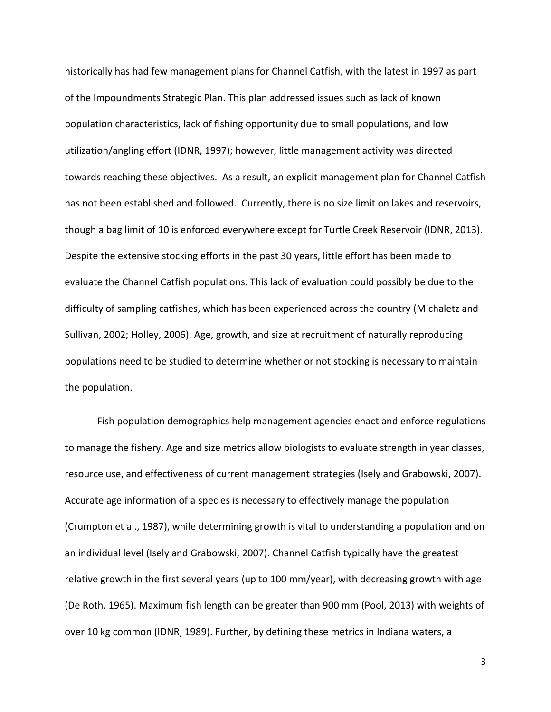historically has had few management plans for Channel Catfish, with the latest in 1997 as part of the Impoundments Strategic Plan. This plan addressed issues such as lack of known population characteristics, lack of fishing opportunity due to small populations, and low utilization/angling effort (IDNR, 1997); however, little management activity was directed towards reaching these objectives. As a result, an explicit management plan for Channel Catfish has not been established and followed. Currently, there is no size limit on lakes and reservoirs, though a bag limit of 10 is enforced everywhere except for Turtle Creek Reservoir (IDNR, 2013). Despite the extensive stocking efforts in the past 30 years, little effort has been made to evaluate the Channel Catfish populations. This lack of evaluation could possibly be due to the difficulty of sampling catfishes, which has been experienced across the country (Michaletz and Sullivan, 2002; Holley, 2006). Age, growth, and size at recruitment of naturally reproducing populations need to be studied to determine whether or not stocking is necessary to maintain the population.

Fish population demographics help management agencies enact and enforce regulations to manage the fishery. Age and size metrics allow biologists to evaluate strength in year classes, resource use, and effectiveness of current management strategies (Isely and Grabowski, 2007). Accurate age information of a species is necessary to effectively manage the population (Crumpton et al., 1987), while determining growth is vital to understanding a population and on an individual level (Isely and Grabowski, 2007). Channel Catfish typically have the greatest relative growth in the first several years (up to 100 mm/year), with decreasing growth with age (De Roth, 1965). Maximum fish length can be greater than 900 mm (Pool, 2013) with weights of over 10 kg common (IDNR, 1989). Further, by defining these metrics in Indiana waters, a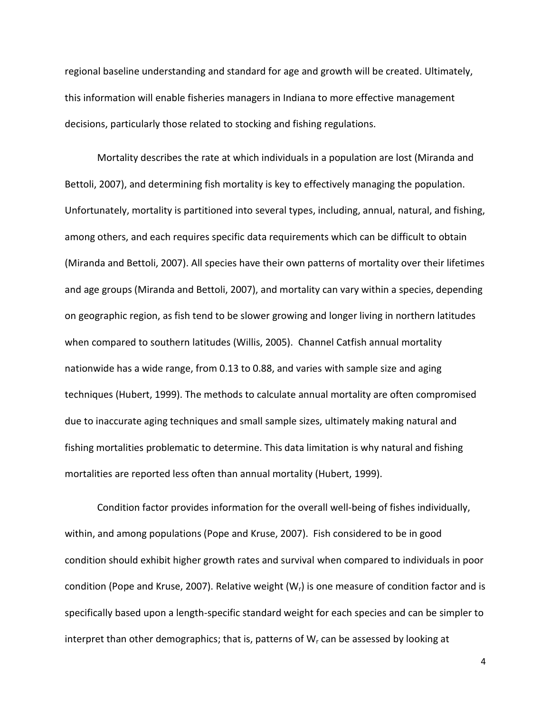regional baseline understanding and standard for age and growth will be created. Ultimately, this information will enable fisheries managers in Indiana to more effective management decisions, particularly those related to stocking and fishing regulations.

Mortality describes the rate at which individuals in a population are lost (Miranda and Bettoli, 2007), and determining fish mortality is key to effectively managing the population. Unfortunately, mortality is partitioned into several types, including, annual, natural, and fishing, among others, and each requires specific data requirements which can be difficult to obtain (Miranda and Bettoli, 2007). All species have their own patterns of mortality over their lifetimes and age groups (Miranda and Bettoli, 2007), and mortality can vary within a species, depending on geographic region, as fish tend to be slower growing and longer living in northern latitudes when compared to southern latitudes (Willis, 2005). Channel Catfish annual mortality nationwide has a wide range, from 0.13 to 0.88, and varies with sample size and aging techniques (Hubert, 1999). The methods to calculate annual mortality are often compromised due to inaccurate aging techniques and small sample sizes, ultimately making natural and fishing mortalities problematic to determine. This data limitation is why natural and fishing mortalities are reported less often than annual mortality (Hubert, 1999).

Condition factor provides information for the overall well-being of fishes individually, within, and among populations (Pope and Kruse, 2007). Fish considered to be in good condition should exhibit higher growth rates and survival when compared to individuals in poor condition (Pope and Kruse, 2007). Relative weight  $(W<sub>r</sub>)$  is one measure of condition factor and is specifically based upon a length-specific standard weight for each species and can be simpler to interpret than other demographics; that is, patterns of  $W_r$  can be assessed by looking at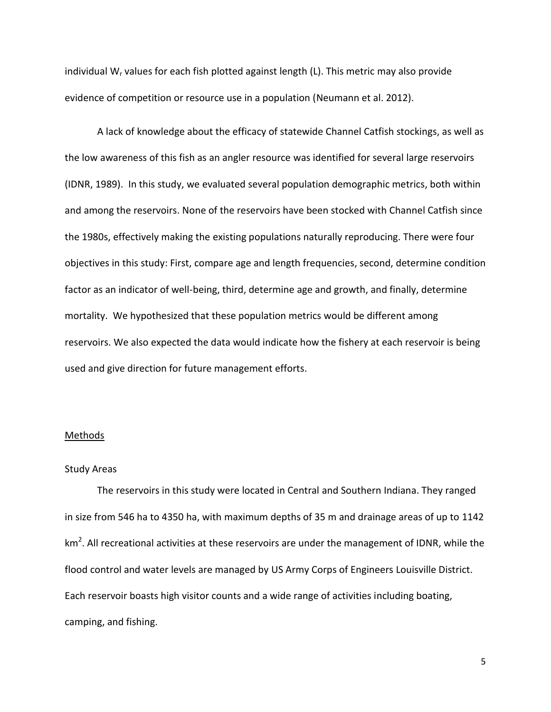individual W<sub>r</sub> values for each fish plotted against length  $(L)$ . This metric may also provide evidence of competition or resource use in a population (Neumann et al. 2012).

A lack of knowledge about the efficacy of statewide Channel Catfish stockings, as well as the low awareness of this fish as an angler resource was identified for several large reservoirs (IDNR, 1989). In this study, we evaluated several population demographic metrics, both within and among the reservoirs. None of the reservoirs have been stocked with Channel Catfish since the 1980s, effectively making the existing populations naturally reproducing. There were four objectives in this study: First, compare age and length frequencies, second, determine condition factor as an indicator of well-being, third, determine age and growth, and finally, determine mortality. We hypothesized that these population metrics would be different among reservoirs. We also expected the data would indicate how the fishery at each reservoir is being used and give direction for future management efforts.

### Methods

### Study Areas

The reservoirs in this study were located in Central and Southern Indiana. They ranged in size from 546 ha to 4350 ha, with maximum depths of 35 m and drainage areas of up to 1142 km<sup>2</sup>. All recreational activities at these reservoirs are under the management of IDNR, while the flood control and water levels are managed by US Army Corps of Engineers Louisville District. Each reservoir boasts high visitor counts and a wide range of activities including boating, camping, and fishing.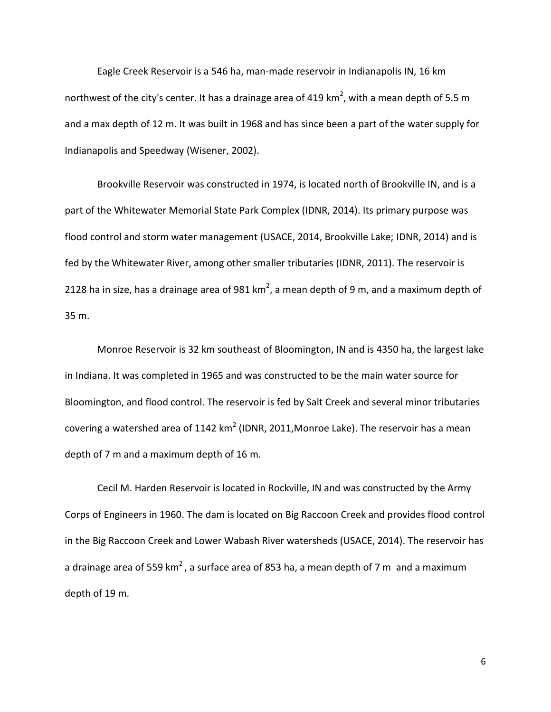Eagle Creek Reservoir is a 546 ha, man-made reservoir in Indianapolis IN, 16 km northwest of the city's center. It has a drainage area of 419 km<sup>2</sup>, with a mean depth of 5.5 m and a max depth of 12 m. It was built in 1968 and has since been a part of the water supply for Indianapolis and Speedway (Wisener, 2002).

Brookville Reservoir was constructed in 1974, is located north of Brookville IN, and is a part of the Whitewater Memorial State Park Complex (IDNR, 2014). Its primary purpose was flood control and storm water management (USACE, 2014, Brookville Lake; IDNR, 2014) and is fed by the Whitewater River, among other smaller tributaries (IDNR, 2011). The reservoir is 2128 ha in size, has a drainage area of 981 km<sup>2</sup>, a mean depth of 9 m, and a maximum depth of 35 m.

Monroe Reservoir is 32 km southeast of Bloomington, IN and is 4350 ha, the largest lake in Indiana. It was completed in 1965 and was constructed to be the main water source for Bloomington, and flood control. The reservoir is fed by Salt Creek and several minor tributaries covering a watershed area of 1142 km<sup>2</sup> (IDNR, 2011, Monroe Lake). The reservoir has a mean depth of 7 m and a maximum depth of 16 m.

Cecil M. Harden Reservoir is located in Rockville, IN and was constructed by the Army Corps of Engineers in 1960. The dam is located on Big Raccoon Creek and provides flood control in the Big Raccoon Creek and Lower Wabash River watersheds (USACE, 2014). The reservoir has a drainage area of 559 km<sup>2</sup>, a surface area of 853 ha, a mean depth of 7 m and a maximum depth of 19 m.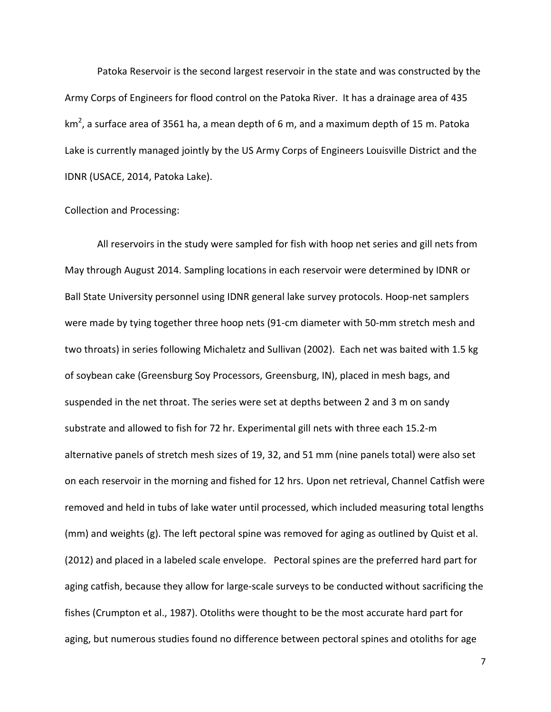Patoka Reservoir is the second largest reservoir in the state and was constructed by the Army Corps of Engineers for flood control on the Patoka River. It has a drainage area of 435 km<sup>2</sup>, a surface area of 3561 ha, a mean depth of 6 m, and a maximum depth of 15 m. Patoka Lake is currently managed jointly by the US Army Corps of Engineers Louisville District and the IDNR (USACE, 2014, Patoka Lake).

### Collection and Processing:

All reservoirs in the study were sampled for fish with hoop net series and gill nets from May through August 2014. Sampling locations in each reservoir were determined by IDNR or Ball State University personnel using IDNR general lake survey protocols. Hoop-net samplers were made by tying together three hoop nets (91-cm diameter with 50-mm stretch mesh and two throats) in series following Michaletz and Sullivan (2002). Each net was baited with 1.5 kg of soybean cake (Greensburg Soy Processors, Greensburg, IN), placed in mesh bags, and suspended in the net throat. The series were set at depths between 2 and 3 m on sandy substrate and allowed to fish for 72 hr. Experimental gill nets with three each 15.2-m alternative panels of stretch mesh sizes of 19, 32, and 51 mm (nine panels total) were also set on each reservoir in the morning and fished for 12 hrs. Upon net retrieval, Channel Catfish were removed and held in tubs of lake water until processed, which included measuring total lengths (mm) and weights (g). The left pectoral spine was removed for aging as outlined by Quist et al. (2012) and placed in a labeled scale envelope. Pectoral spines are the preferred hard part for aging catfish, because they allow for large-scale surveys to be conducted without sacrificing the fishes (Crumpton et al., 1987). Otoliths were thought to be the most accurate hard part for aging, but numerous studies found no difference between pectoral spines and otoliths for age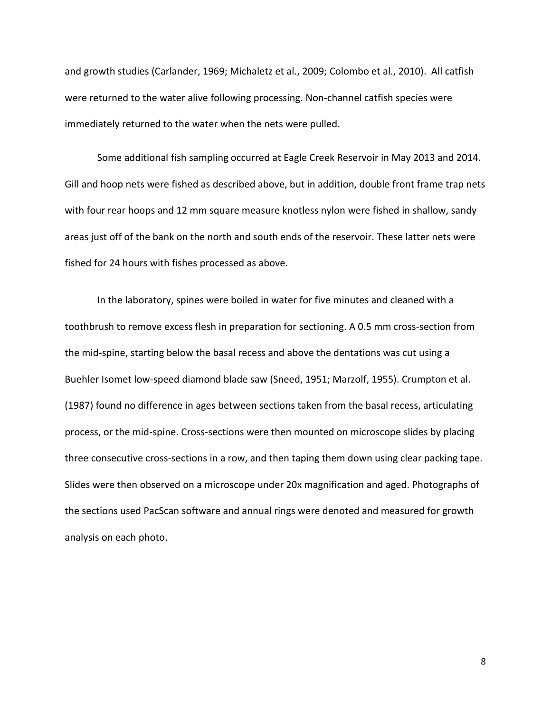and growth studies (Carlander, 1969; Michaletz et al., 2009; Colombo et al., 2010). All catfish were returned to the water alive following processing. Non-channel catfish species were immediately returned to the water when the nets were pulled.

Some additional fish sampling occurred at Eagle Creek Reservoir in May 2013 and 2014. Gill and hoop nets were fished as described above, but in addition, double front frame trap nets with four rear hoops and 12 mm square measure knotless nylon were fished in shallow, sandy areas just off of the bank on the north and south ends of the reservoir. These latter nets were fished for 24 hours with fishes processed as above.

In the laboratory, spines were boiled in water for five minutes and cleaned with a toothbrush to remove excess flesh in preparation for sectioning. A 0.5 mm cross-section from the mid-spine, starting below the basal recess and above the dentations was cut using a Buehler Isomet low-speed diamond blade saw (Sneed, 1951; Marzolf, 1955). Crumpton et al. (1987) found no difference in ages between sections taken from the basal recess, articulating process, or the mid-spine. Cross-sections were then mounted on microscope slides by placing three consecutive cross-sections in a row, and then taping them down using clear packing tape. Slides were then observed on a microscope under 20x magnification and aged. Photographs of the sections used PacScan software and annual rings were denoted and measured for growth analysis on each photo.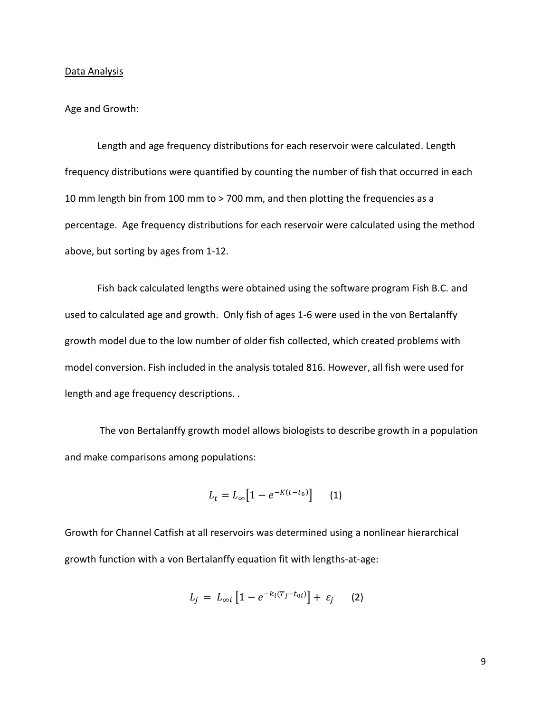#### Data Analysis

### Age and Growth:

Length and age frequency distributions for each reservoir were calculated. Length frequency distributions were quantified by counting the number of fish that occurred in each 10 mm length bin from 100 mm to > 700 mm, and then plotting the frequencies as a percentage. Age frequency distributions for each reservoir were calculated using the method above, but sorting by ages from 1-12.

Fish back calculated lengths were obtained using the software program Fish B.C. and used to calculated age and growth. Only fish of ages 1-6 were used in the von Bertalanffy growth model due to the low number of older fish collected, which created problems with model conversion. Fish included in the analysis totaled 816. However, all fish were used for length and age frequency descriptions. .

The von Bertalanffy growth model allows biologists to describe growth in a population and make comparisons among populations:

$$
L_t = L_{\infty} \big[ 1 - e^{-K(t - t_0)} \big] \qquad (1)
$$

Growth for Channel Catfish at all reservoirs was determined using a nonlinear hierarchical growth function with a von Bertalanffy equation fit with lengths-at-age:

$$
L_j = L_{\infty i} \left[ 1 - e^{-k_i (T_j - t_{0i})} \right] + \varepsilon_j \qquad (2)
$$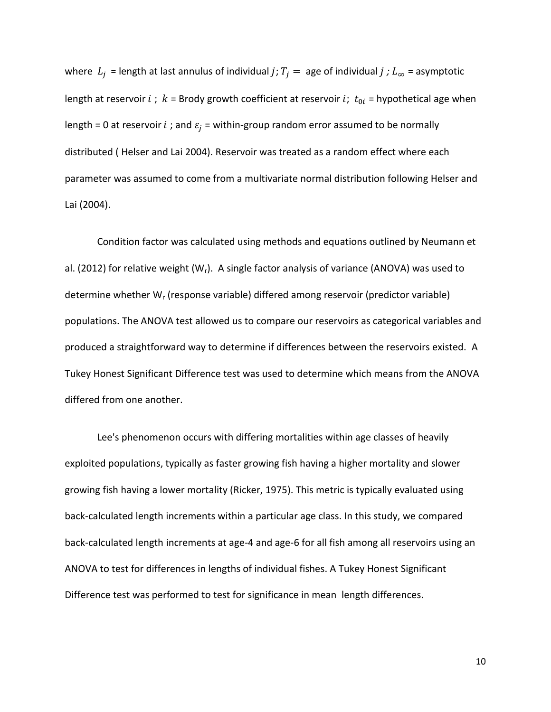where  $L_i$  = length at last annulus of individual *j*;  $T_i$  = age of individual *j*;  $L_{\infty}$  = asymptotic length at reservoir  $i$ ;  $k$  = Brody growth coefficient at reservoir  $i$ ;  $t_{0i}$  = hypothetical age when length = 0 at reservoir  $i$ ; and  $\varepsilon_i$  = within-group random error assumed to be normally distributed ( Helser and Lai 2004). Reservoir was treated as a random effect where each parameter was assumed to come from a multivariate normal distribution following Helser and Lai (2004).

Condition factor was calculated using methods and equations outlined by Neumann et al. (2012) for relative weight (W<sub>r</sub>). A single factor analysis of variance (ANOVA) was used to determine whether  $W_r$  (response variable) differed among reservoir (predictor variable) populations. The ANOVA test allowed us to compare our reservoirs as categorical variables and produced a straightforward way to determine if differences between the reservoirs existed. A Tukey Honest Significant Difference test was used to determine which means from the ANOVA differed from one another.

Lee's phenomenon occurs with differing mortalities within age classes of heavily exploited populations, typically as faster growing fish having a higher mortality and slower growing fish having a lower mortality (Ricker, 1975). This metric is typically evaluated using back-calculated length increments within a particular age class. In this study, we compared back-calculated length increments at age-4 and age-6 for all fish among all reservoirs using an ANOVA to test for differences in lengths of individual fishes. A Tukey Honest Significant Difference test was performed to test for significance in mean length differences.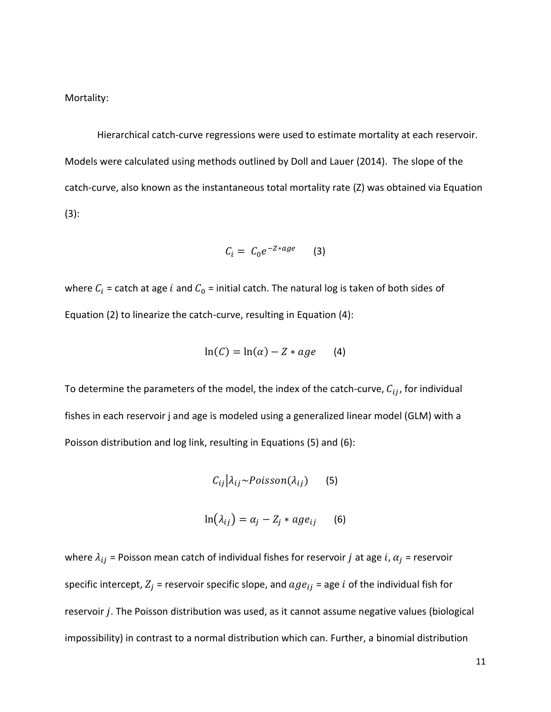Mortality:

Hierarchical catch-curve regressions were used to estimate mortality at each reservoir. Models were calculated using methods outlined by Doll and Lauer (2014). The slope of the catch-curve, also known as the instantaneous total mortality rate (Z) was obtained via Equation (3):

$$
C_i = C_0 e^{-Z*age} \qquad (3)
$$

where  $C_i$  = catch at age i and  $C_0$  = initial catch. The natural log is taken of both sides of Equation (2) to linearize the catch-curve, resulting in Equation (4):

$$
\ln(C) = \ln(\alpha) - Z * age \qquad (4)
$$

To determine the parameters of the model, the index of the catch-curve,  $C_{ij}$ , for individual fishes in each reservoir j and age is modeled using a generalized linear model (GLM) with a Poisson distribution and log link, resulting in Equations (5) and (6):

$$
C_{ij}|\lambda_{ij} \sim Poisson(\lambda_{ij})
$$
 (5)

$$
\ln(\lambda_{ij}) = \alpha_j - Z_j * age_{ij} \qquad (6)
$$

where  $\lambda_{ij}$  = Poisson mean catch of individual fishes for reservoir *j* at age *i*,  $\alpha_j$  = reservoir specific intercept,  $Z_i$  = reservoir specific slope, and  $age_{ij}$  = age *i* of the individual fish for reservoir  $j$ . The Poisson distribution was used, as it cannot assume negative values (biological impossibility) in contrast to a normal distribution which can. Further, a binomial distribution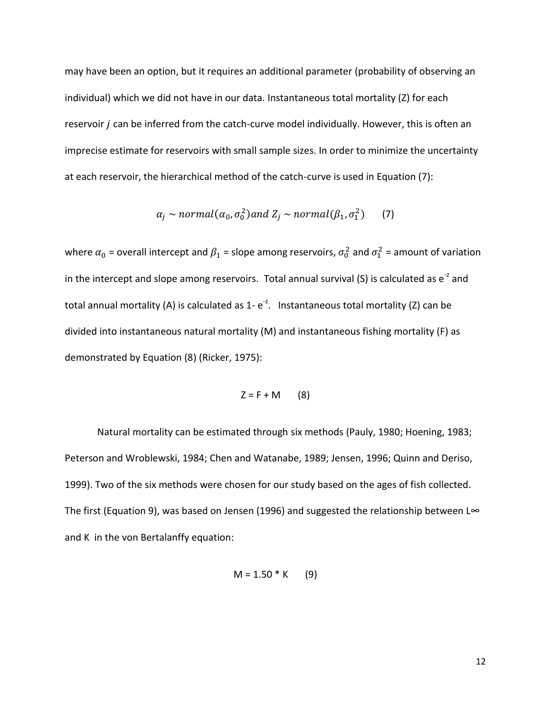may have been an option, but it requires an additional parameter (probability of observing an individual) which we did not have in our data. Instantaneous total mortality (Z) for each reservoir *i* can be inferred from the catch-curve model individually. However, this is often an imprecise estimate for reservoirs with small sample sizes. In order to minimize the uncertainty at each reservoir, the hierarchical method of the catch-curve is used in Equation (7):

$$
\alpha_j \sim normal(\alpha_0, \sigma_0^2) \text{ and } Z_j \sim normal(\beta_1, \sigma_1^2) \qquad (7)
$$

where  $\alpha_0$  = overall intercept and  $\beta_1$  = slope among reservoirs,  $\sigma_0^2$  and  $\sigma_1^2$  = amount of variation in the intercept and slope among reservoirs. Total annual survival (S) is calculated as  $e^{-z}$  and total annual mortality (A) is calculated as  $1$ - $e^{-z}$ . Instantaneous total mortality (Z) can be divided into instantaneous natural mortality (M) and instantaneous fishing mortality (F) as demonstrated by Equation (8) (Ricker, 1975):

$$
Z = F + M \qquad (8)
$$

Natural mortality can be estimated through six methods (Pauly, 1980; Hoening, 1983; Peterson and Wroblewski, 1984; Chen and Watanabe, 1989; Jensen, 1996; Quinn and Deriso, 1999). Two of the six methods were chosen for our study based on the ages of fish collected. The first (Equation 9), was based on Jensen (1996) and suggested the relationship between L∞ and K in the von Bertalanffy equation:

$$
M = 1.50 * K
$$
 (9)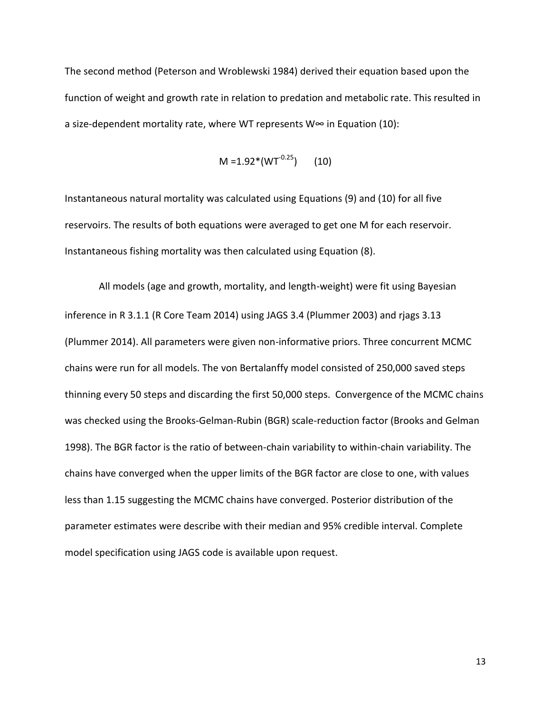The second method (Peterson and Wroblewski 1984) derived their equation based upon the function of weight and growth rate in relation to predation and metabolic rate. This resulted in a size-dependent mortality rate, where WT represents W∞ in Equation (10):

$$
M = 1.92*(WT^{-0.25}) \qquad (10)
$$

Instantaneous natural mortality was calculated using Equations (9) and (10) for all five reservoirs. The results of both equations were averaged to get one M for each reservoir. Instantaneous fishing mortality was then calculated using Equation (8).

 All models (age and growth, mortality, and length-weight) were fit using Bayesian inference in R 3.1.1 (R Core Team 2014) using JAGS 3.4 (Plummer 2003) and rjags 3.13 (Plummer 2014). All parameters were given non-informative priors. Three concurrent MCMC chains were run for all models. The von Bertalanffy model consisted of 250,000 saved steps thinning every 50 steps and discarding the first 50,000 steps. Convergence of the MCMC chains was checked using the Brooks-Gelman-Rubin (BGR) scale-reduction factor (Brooks and Gelman 1998). The BGR factor is the ratio of between-chain variability to within-chain variability. The chains have converged when the upper limits of the BGR factor are close to one, with values less than 1.15 suggesting the MCMC chains have converged. Posterior distribution of the parameter estimates were describe with their median and 95% credible interval. Complete model specification using JAGS code is available upon request.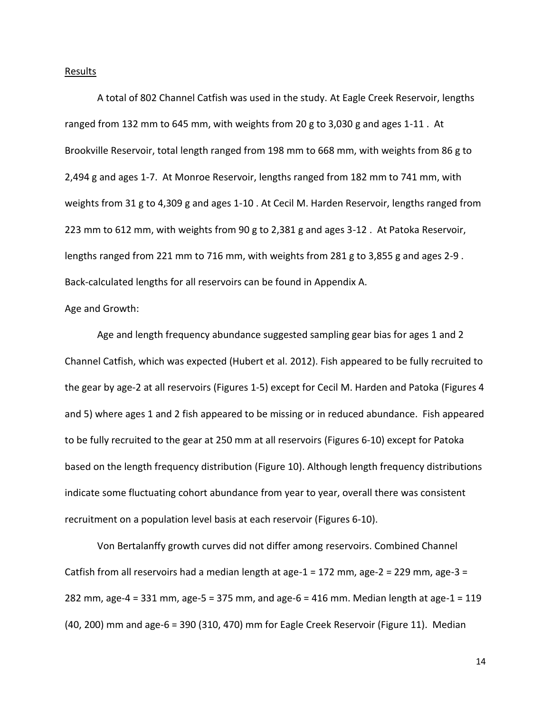#### Results

A total of 802 Channel Catfish was used in the study. At Eagle Creek Reservoir, lengths ranged from 132 mm to 645 mm, with weights from 20 g to 3,030 g and ages 1-11 . At Brookville Reservoir, total length ranged from 198 mm to 668 mm, with weights from 86 g to 2,494 g and ages 1-7. At Monroe Reservoir, lengths ranged from 182 mm to 741 mm, with weights from 31 g to 4,309 g and ages 1-10 . At Cecil M. Harden Reservoir, lengths ranged from 223 mm to 612 mm, with weights from 90 g to 2,381 g and ages 3-12 . At Patoka Reservoir, lengths ranged from 221 mm to 716 mm, with weights from 281 g to 3,855 g and ages 2-9 . Back-calculated lengths for all reservoirs can be found in Appendix A.

#### Age and Growth:

Age and length frequency abundance suggested sampling gear bias for ages 1 and 2 Channel Catfish, which was expected (Hubert et al. 2012). Fish appeared to be fully recruited to the gear by age-2 at all reservoirs (Figures 1-5) except for Cecil M. Harden and Patoka (Figures 4 and 5) where ages 1 and 2 fish appeared to be missing or in reduced abundance. Fish appeared to be fully recruited to the gear at 250 mm at all reservoirs (Figures 6-10) except for Patoka based on the length frequency distribution (Figure 10). Although length frequency distributions indicate some fluctuating cohort abundance from year to year, overall there was consistent recruitment on a population level basis at each reservoir (Figures 6-10).

Von Bertalanffy growth curves did not differ among reservoirs. Combined Channel Catfish from all reservoirs had a median length at age-1 = 172 mm, age-2 = 229 mm, age-3 = 282 mm, age-4 = 331 mm, age-5 = 375 mm, and age-6 = 416 mm. Median length at age-1 = 119 (40, 200) mm and age-6 = 390 (310, 470) mm for Eagle Creek Reservoir (Figure 11). Median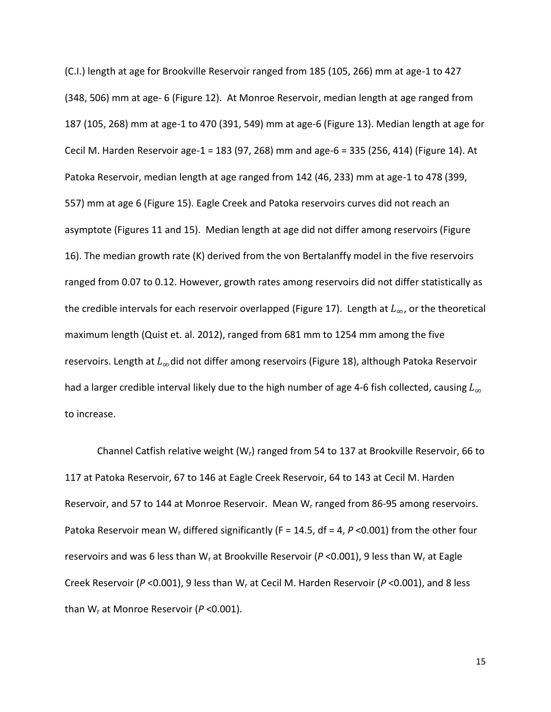(C.I.) length at age for Brookville Reservoir ranged from 185 (105, 266) mm at age-1 to 427 (348, 506) mm at age- 6 (Figure 12). At Monroe Reservoir, median length at age ranged from 187 (105, 268) mm at age-1 to 470 (391, 549) mm at age-6 (Figure 13). Median length at age for Cecil M. Harden Reservoir age-1 = 183 (97, 268) mm and age-6 = 335 (256, 414) (Figure 14). At Patoka Reservoir, median length at age ranged from 142 (46, 233) mm at age-1 to 478 (399, 557) mm at age 6 (Figure 15). Eagle Creek and Patoka reservoirs curves did not reach an asymptote (Figures 11 and 15). Median length at age did not differ among reservoirs (Figure 16). The median growth rate (K) derived from the von Bertalanffy model in the five reservoirs ranged from 0.07 to 0.12. However, growth rates among reservoirs did not differ statistically as the credible intervals for each reservoir overlapped (Figure 17). Length at  $L_{\infty}$ , or the theoretical maximum length (Quist et. al. 2012), ranged from 681 mm to 1254 mm among the five reservoirs. Length at  $L_{\infty}$ did not differ among reservoirs (Figure 18), although Patoka Reservoir had a larger credible interval likely due to the high number of age 4-6 fish collected, causing  $L_{\infty}$ to increase.

Channel Catfish relative weight  $(W<sub>r</sub>)$  ranged from 54 to 137 at Brookville Reservoir, 66 to 117 at Patoka Reservoir, 67 to 146 at Eagle Creek Reservoir, 64 to 143 at Cecil M. Harden Reservoir, and 57 to 144 at Monroe Reservoir. Mean W<sub>r</sub> ranged from 86-95 among reservoirs. Patoka Reservoir mean W<sub>r</sub> differed significantly (F = 14.5, df = 4, P < 0.001) from the other four reservoirs and was 6 less than W<sup>r</sup> at Brookville Reservoir (*P* <0.001), 9 less than W<sup>r</sup> at Eagle Creek Reservoir (*P* <0.001), 9 less than W<sup>r</sup> at Cecil M. Harden Reservoir (*P* <0.001), and 8 less than W<sup>r</sup> at Monroe Reservoir (*P* <0.001).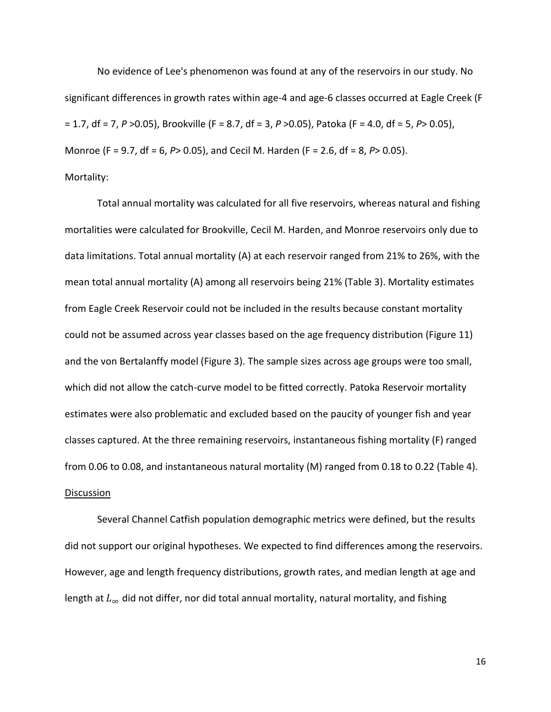No evidence of Lee's phenomenon was found at any of the reservoirs in our study. No significant differences in growth rates within age-4 and age-6 classes occurred at Eagle Creek (F = 1.7, df = 7, *P* >0.05), Brookville (F = 8.7, df = 3, *P* >0.05), Patoka (F = 4.0, df = 5, *P*> 0.05), Monroe (F = 9.7, df = 6, *P*> 0.05), and Cecil M. Harden (F = 2.6, df = 8, *P*> 0.05). Mortality:

Total annual mortality was calculated for all five reservoirs, whereas natural and fishing mortalities were calculated for Brookville, Cecil M. Harden, and Monroe reservoirs only due to data limitations. Total annual mortality (A) at each reservoir ranged from 21% to 26%, with the mean total annual mortality (A) among all reservoirs being 21% (Table 3). Mortality estimates from Eagle Creek Reservoir could not be included in the results because constant mortality could not be assumed across year classes based on the age frequency distribution (Figure 11) and the von Bertalanffy model (Figure 3). The sample sizes across age groups were too small, which did not allow the catch-curve model to be fitted correctly. Patoka Reservoir mortality estimates were also problematic and excluded based on the paucity of younger fish and year classes captured. At the three remaining reservoirs, instantaneous fishing mortality (F) ranged from 0.06 to 0.08, and instantaneous natural mortality (M) ranged from 0.18 to 0.22 (Table 4). **Discussion** 

Several Channel Catfish population demographic metrics were defined, but the results did not support our original hypotheses. We expected to find differences among the reservoirs. However, age and length frequency distributions, growth rates, and median length at age and length at  $L_{\infty}$  did not differ, nor did total annual mortality, natural mortality, and fishing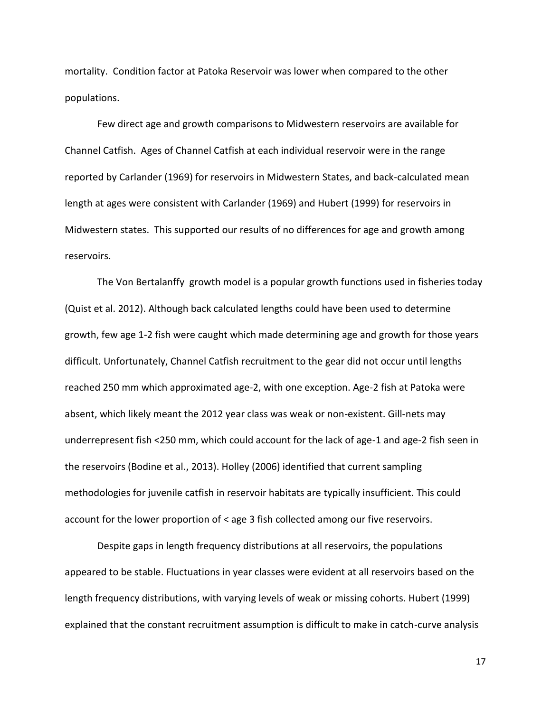mortality. Condition factor at Patoka Reservoir was lower when compared to the other populations.

Few direct age and growth comparisons to Midwestern reservoirs are available for Channel Catfish. Ages of Channel Catfish at each individual reservoir were in the range reported by Carlander (1969) for reservoirs in Midwestern States, and back-calculated mean length at ages were consistent with Carlander (1969) and Hubert (1999) for reservoirs in Midwestern states. This supported our results of no differences for age and growth among reservoirs.

The Von Bertalanffy growth model is a popular growth functions used in fisheries today (Quist et al. 2012). Although back calculated lengths could have been used to determine growth, few age 1-2 fish were caught which made determining age and growth for those years difficult. Unfortunately, Channel Catfish recruitment to the gear did not occur until lengths reached 250 mm which approximated age-2, with one exception. Age-2 fish at Patoka were absent, which likely meant the 2012 year class was weak or non-existent. Gill-nets may underrepresent fish <250 mm, which could account for the lack of age-1 and age-2 fish seen in the reservoirs (Bodine et al., 2013). Holley (2006) identified that current sampling methodologies for juvenile catfish in reservoir habitats are typically insufficient. This could account for the lower proportion of < age 3 fish collected among our five reservoirs.

Despite gaps in length frequency distributions at all reservoirs, the populations appeared to be stable. Fluctuations in year classes were evident at all reservoirs based on the length frequency distributions, with varying levels of weak or missing cohorts. Hubert (1999) explained that the constant recruitment assumption is difficult to make in catch-curve analysis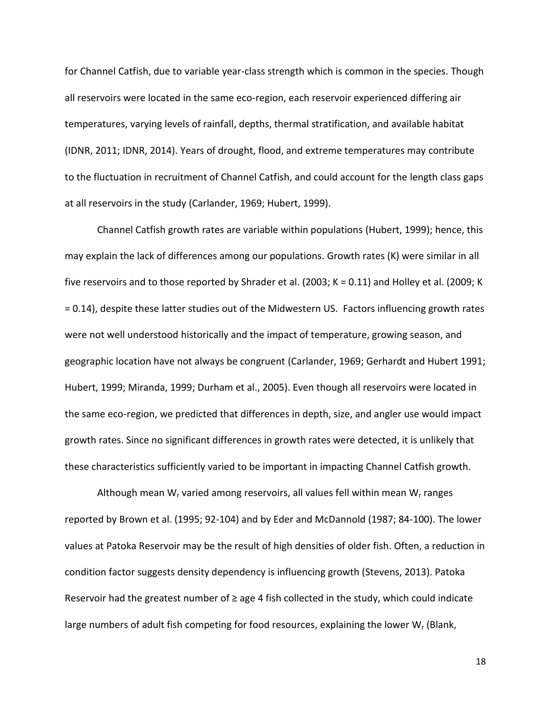for Channel Catfish, due to variable year-class strength which is common in the species. Though all reservoirs were located in the same eco-region, each reservoir experienced differing air temperatures, varying levels of rainfall, depths, thermal stratification, and available habitat (IDNR, 2011; IDNR, 2014). Years of drought, flood, and extreme temperatures may contribute to the fluctuation in recruitment of Channel Catfish, and could account for the length class gaps at all reservoirs in the study (Carlander, 1969; Hubert, 1999).

Channel Catfish growth rates are variable within populations (Hubert, 1999); hence, this may explain the lack of differences among our populations. Growth rates (K) were similar in all five reservoirs and to those reported by Shrader et al. (2003; K = 0.11) and Holley et al. (2009; K = 0.14), despite these latter studies out of the Midwestern US. Factors influencing growth rates were not well understood historically and the impact of temperature, growing season, and geographic location have not always be congruent (Carlander, 1969; Gerhardt and Hubert 1991; Hubert, 1999; Miranda, 1999; Durham et al., 2005). Even though all reservoirs were located in the same eco-region, we predicted that differences in depth, size, and angler use would impact growth rates. Since no significant differences in growth rates were detected, it is unlikely that these characteristics sufficiently varied to be important in impacting Channel Catfish growth.

Although mean  $W_r$  varied among reservoirs, all values fell within mean  $W_r$  ranges reported by Brown et al. (1995; 92-104) and by Eder and McDannold (1987; 84-100). The lower values at Patoka Reservoir may be the result of high densities of older fish. Often, a reduction in condition factor suggests density dependency is influencing growth (Stevens, 2013). Patoka Reservoir had the greatest number of  $\geq$  age 4 fish collected in the study, which could indicate large numbers of adult fish competing for food resources, explaining the lower  $W_r$  (Blank,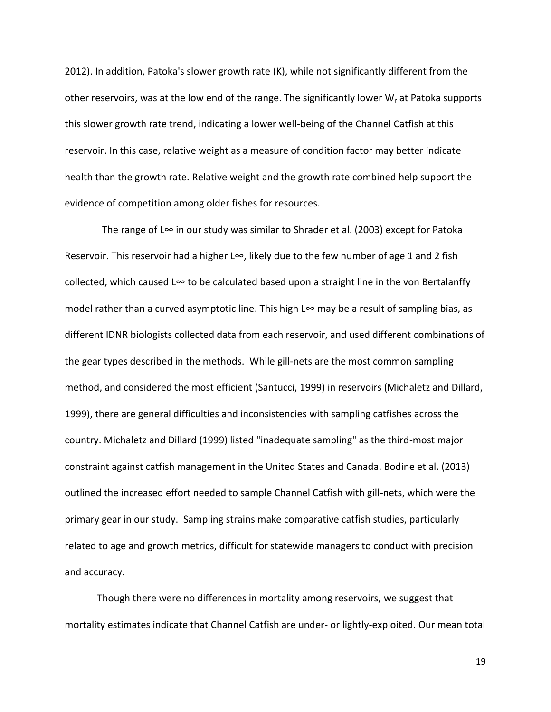2012). In addition, Patoka's slower growth rate (K), while not significantly different from the other reservoirs, was at the low end of the range. The significantly lower  $W_r$  at Patoka supports this slower growth rate trend, indicating a lower well-being of the Channel Catfish at this reservoir. In this case, relative weight as a measure of condition factor may better indicate health than the growth rate. Relative weight and the growth rate combined help support the evidence of competition among older fishes for resources.

The range of L∞ in our study was similar to Shrader et al. (2003) except for Patoka Reservoir. This reservoir had a higher L∞, likely due to the few number of age 1 and 2 fish collected, which caused L∞ to be calculated based upon a straight line in the von Bertalanffy model rather than a curved asymptotic line. This high L∞ may be a result of sampling bias, as different IDNR biologists collected data from each reservoir, and used different combinations of the gear types described in the methods. While gill-nets are the most common sampling method, and considered the most efficient (Santucci, 1999) in reservoirs (Michaletz and Dillard, 1999), there are general difficulties and inconsistencies with sampling catfishes across the country. Michaletz and Dillard (1999) listed "inadequate sampling" as the third-most major constraint against catfish management in the United States and Canada. Bodine et al. (2013) outlined the increased effort needed to sample Channel Catfish with gill-nets, which were the primary gear in our study. Sampling strains make comparative catfish studies, particularly related to age and growth metrics, difficult for statewide managers to conduct with precision and accuracy.

Though there were no differences in mortality among reservoirs, we suggest that mortality estimates indicate that Channel Catfish are under- or lightly-exploited. Our mean total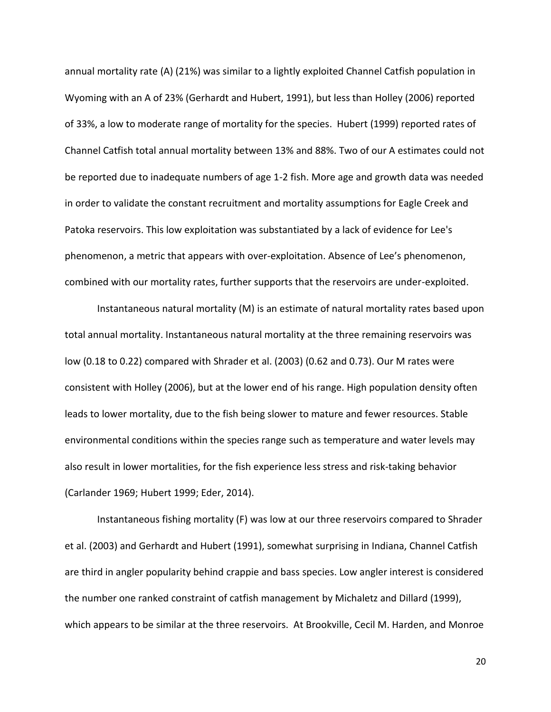annual mortality rate (A) (21%) was similar to a lightly exploited Channel Catfish population in Wyoming with an A of 23% (Gerhardt and Hubert, 1991), but less than Holley (2006) reported of 33%, a low to moderate range of mortality for the species. Hubert (1999) reported rates of Channel Catfish total annual mortality between 13% and 88%. Two of our A estimates could not be reported due to inadequate numbers of age 1-2 fish. More age and growth data was needed in order to validate the constant recruitment and mortality assumptions for Eagle Creek and Patoka reservoirs. This low exploitation was substantiated by a lack of evidence for Lee's phenomenon, a metric that appears with over-exploitation. Absence of Lee's phenomenon, combined with our mortality rates, further supports that the reservoirs are under-exploited.

Instantaneous natural mortality (M) is an estimate of natural mortality rates based upon total annual mortality. Instantaneous natural mortality at the three remaining reservoirs was low (0.18 to 0.22) compared with Shrader et al. (2003) (0.62 and 0.73). Our M rates were consistent with Holley (2006), but at the lower end of his range. High population density often leads to lower mortality, due to the fish being slower to mature and fewer resources. Stable environmental conditions within the species range such as temperature and water levels may also result in lower mortalities, for the fish experience less stress and risk-taking behavior (Carlander 1969; Hubert 1999; Eder, 2014).

Instantaneous fishing mortality (F) was low at our three reservoirs compared to Shrader et al. (2003) and Gerhardt and Hubert (1991), somewhat surprising in Indiana, Channel Catfish are third in angler popularity behind crappie and bass species. Low angler interest is considered the number one ranked constraint of catfish management by Michaletz and Dillard (1999), which appears to be similar at the three reservoirs. At Brookville, Cecil M. Harden, and Monroe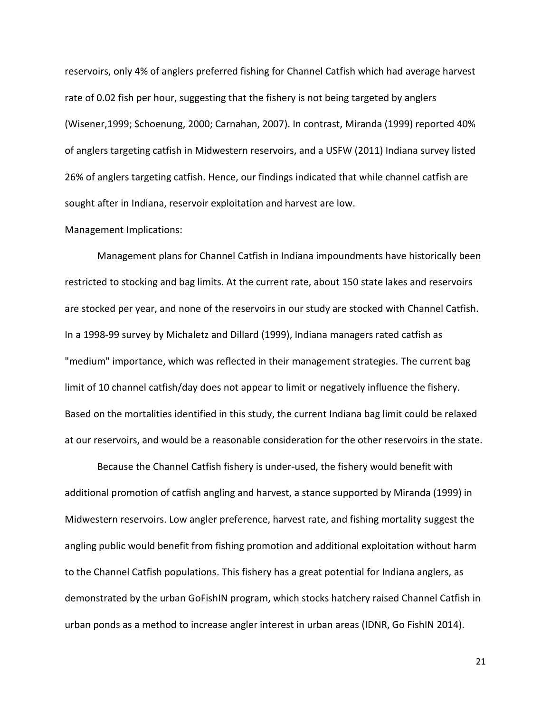reservoirs, only 4% of anglers preferred fishing for Channel Catfish which had average harvest rate of 0.02 fish per hour, suggesting that the fishery is not being targeted by anglers (Wisener,1999; Schoenung, 2000; Carnahan, 2007). In contrast, Miranda (1999) reported 40% of anglers targeting catfish in Midwestern reservoirs, and a USFW (2011) Indiana survey listed 26% of anglers targeting catfish. Hence, our findings indicated that while channel catfish are sought after in Indiana, reservoir exploitation and harvest are low.

#### Management Implications:

Management plans for Channel Catfish in Indiana impoundments have historically been restricted to stocking and bag limits. At the current rate, about 150 state lakes and reservoirs are stocked per year, and none of the reservoirs in our study are stocked with Channel Catfish. In a 1998-99 survey by Michaletz and Dillard (1999), Indiana managers rated catfish as "medium" importance, which was reflected in their management strategies. The current bag limit of 10 channel catfish/day does not appear to limit or negatively influence the fishery. Based on the mortalities identified in this study, the current Indiana bag limit could be relaxed at our reservoirs, and would be a reasonable consideration for the other reservoirs in the state.

Because the Channel Catfish fishery is under-used, the fishery would benefit with additional promotion of catfish angling and harvest, a stance supported by Miranda (1999) in Midwestern reservoirs. Low angler preference, harvest rate, and fishing mortality suggest the angling public would benefit from fishing promotion and additional exploitation without harm to the Channel Catfish populations. This fishery has a great potential for Indiana anglers, as demonstrated by the urban GoFishIN program, which stocks hatchery raised Channel Catfish in urban ponds as a method to increase angler interest in urban areas (IDNR, Go FishIN 2014).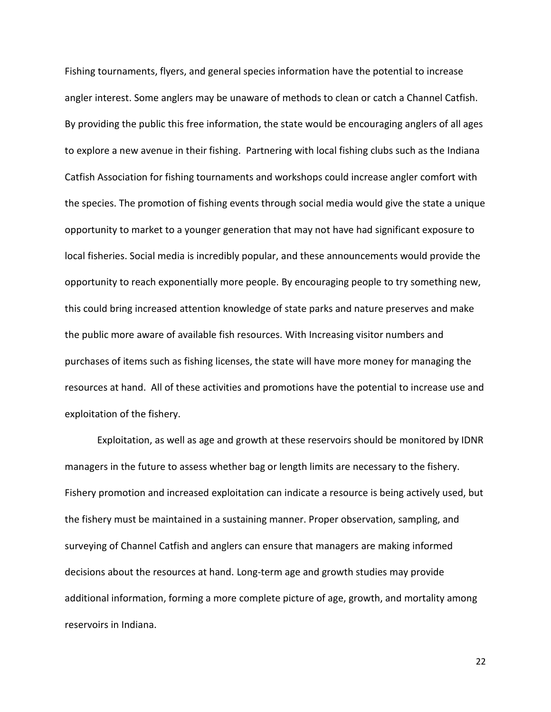Fishing tournaments, flyers, and general species information have the potential to increase angler interest. Some anglers may be unaware of methods to clean or catch a Channel Catfish. By providing the public this free information, the state would be encouraging anglers of all ages to explore a new avenue in their fishing. Partnering with local fishing clubs such as the Indiana Catfish Association for fishing tournaments and workshops could increase angler comfort with the species. The promotion of fishing events through social media would give the state a unique opportunity to market to a younger generation that may not have had significant exposure to local fisheries. Social media is incredibly popular, and these announcements would provide the opportunity to reach exponentially more people. By encouraging people to try something new, this could bring increased attention knowledge of state parks and nature preserves and make the public more aware of available fish resources. With Increasing visitor numbers and purchases of items such as fishing licenses, the state will have more money for managing the resources at hand. All of these activities and promotions have the potential to increase use and exploitation of the fishery.

Exploitation, as well as age and growth at these reservoirs should be monitored by IDNR managers in the future to assess whether bag or length limits are necessary to the fishery. Fishery promotion and increased exploitation can indicate a resource is being actively used, but the fishery must be maintained in a sustaining manner. Proper observation, sampling, and surveying of Channel Catfish and anglers can ensure that managers are making informed decisions about the resources at hand. Long-term age and growth studies may provide additional information, forming a more complete picture of age, growth, and mortality among reservoirs in Indiana.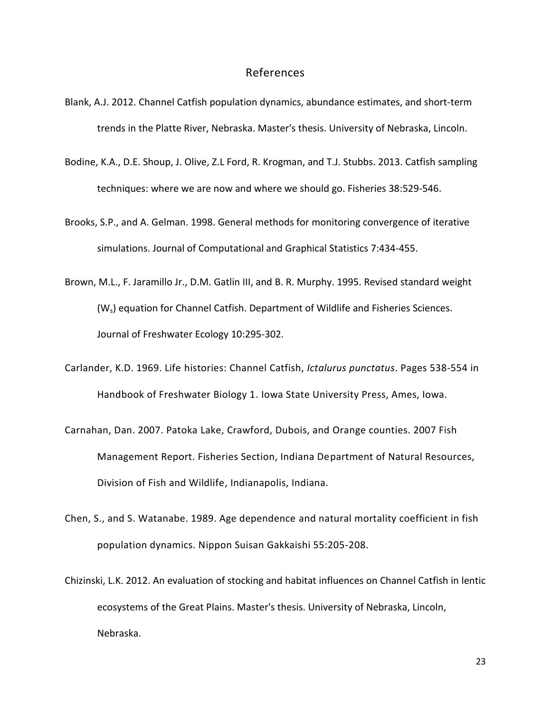### References

- Blank, A.J. 2012. Channel Catfish population dynamics, abundance estimates, and short-term trends in the Platte River, Nebraska. Master's thesis. University of Nebraska, Lincoln.
- Bodine, K.A., D.E. Shoup, J. Olive, Z.L Ford, R. Krogman, and T.J. Stubbs. 2013. Catfish sampling techniques: where we are now and where we should go. Fisheries 38:529-546.
- Brooks, S.P., and A. Gelman. 1998. General methods for monitoring convergence of iterative simulations. Journal of Computational and Graphical Statistics 7:434-455.
- Brown, M.L., F. Jaramillo Jr., D.M. Gatlin III, and B. R. Murphy. 1995. Revised standard weight (Ws) equation for Channel Catfish. Department of Wildlife and Fisheries Sciences. Journal of Freshwater Ecology 10:295-302.
- Carlander, K.D. 1969. Life histories: Channel Catfish, *Ictalurus punctatus*. Pages 538-554 in Handbook of Freshwater Biology 1. Iowa State University Press, Ames, Iowa.
- Carnahan, Dan. 2007. Patoka Lake, Crawford, Dubois, and Orange counties. 2007 Fish Management Report. Fisheries Section, Indiana Department of Natural Resources, Division of Fish and Wildlife, Indianapolis, Indiana.
- Chen, S., and S. Watanabe. 1989. Age dependence and natural mortality coefficient in fish population dynamics. Nippon Suisan Gakkaishi 55:205-208.
- Chizinski, L.K. 2012. An evaluation of stocking and habitat influences on Channel Catfish in lentic ecosystems of the Great Plains. Master's thesis. University of Nebraska, Lincoln, Nebraska.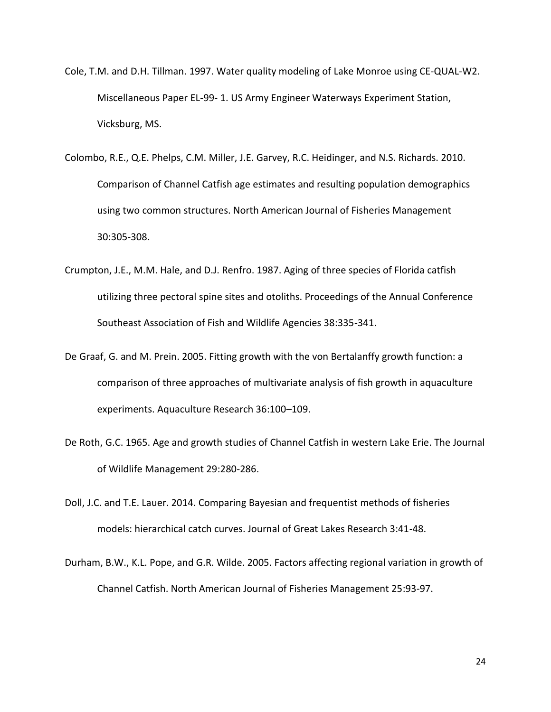- Cole, T.M. and D.H. Tillman. 1997. Water quality modeling of Lake Monroe using CE-QUAL-W2. Miscellaneous Paper EL-99- 1. US Army Engineer Waterways Experiment Station, Vicksburg, MS.
- Colombo, R.E., Q.E. Phelps, C.M. Miller, J.E. Garvey, R.C. Heidinger, and N.S. Richards. 2010. Comparison of Channel Catfish age estimates and resulting population demographics using two common structures. North American Journal of Fisheries Management 30:305-308.
- Crumpton, J.E., M.M. Hale, and D.J. Renfro. 1987. Aging of three species of Florida catfish utilizing three pectoral spine sites and otoliths. Proceedings of the Annual Conference Southeast Association of Fish and Wildlife Agencies 38:335-341.
- De Graaf, G. and M. Prein. 2005. Fitting growth with the von Bertalanffy growth function: a comparison of three approaches of multivariate analysis of fish growth in aquaculture experiments. Aquaculture Research 36:100–109.
- De Roth, G.C. 1965. Age and growth studies of Channel Catfish in western Lake Erie. The Journal of Wildlife Management 29:280-286.
- Doll, J.C. and T.E. Lauer. 2014. Comparing Bayesian and frequentist methods of fisheries models: hierarchical catch curves. Journal of Great Lakes Research 3:41-48.
- Durham, B.W., K.L. Pope, and G.R. Wilde. 2005. Factors affecting regional variation in growth of Channel Catfish. North American Journal of Fisheries Management 25:93-97.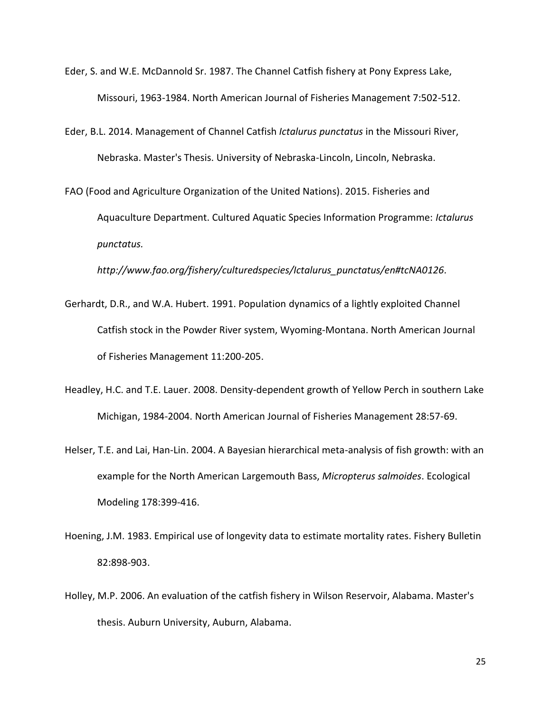- Eder, S. and W.E. McDannold Sr. 1987. The Channel Catfish fishery at Pony Express Lake, Missouri, 1963-1984. North American Journal of Fisheries Management 7:502-512.
- Eder, B.L. 2014. Management of Channel Catfish *Ictalurus punctatus* in the Missouri River, Nebraska. Master's Thesis. University of Nebraska-Lincoln, Lincoln, Nebraska.
- FAO (Food and Agriculture Organization of the United Nations). 2015. Fisheries and Aquaculture Department. Cultured Aquatic Species Information Programme: *Ictalurus punctatus.*

*http://www.fao.org/fishery/culturedspecies/Ictalurus\_punctatus/en#tcNA0126.*

- Gerhardt, D.R., and W.A. Hubert. 1991. Population dynamics of a lightly exploited Channel Catfish stock in the Powder River system, Wyoming-Montana. North American Journal of Fisheries Management 11:200-205.
- Headley, H.C. and T.E. Lauer. 2008. Density-dependent growth of Yellow Perch in southern Lake Michigan, 1984-2004. North American Journal of Fisheries Management 28:57-69.
- Helser, T.E. and Lai, Han-Lin. 2004. A Bayesian hierarchical meta-analysis of fish growth: with an example for the North American Largemouth Bass, *Micropterus salmoides*. Ecological Modeling 178:399-416.
- Hoening, J.M. 1983. Empirical use of longevity data to estimate mortality rates. Fishery Bulletin 82:898-903.
- Holley, M.P. 2006. An evaluation of the catfish fishery in Wilson Reservoir, Alabama. Master's thesis. Auburn University, Auburn, Alabama.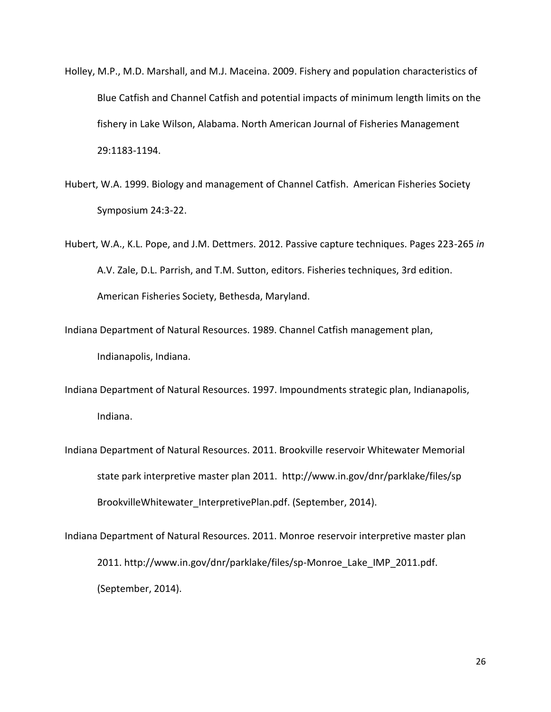- Holley, M.P., M.D. Marshall, and M.J. Maceina. 2009. Fishery and population characteristics of Blue Catfish and Channel Catfish and potential impacts of minimum length limits on the fishery in Lake Wilson, Alabama. North American Journal of Fisheries Management 29:1183-1194.
- Hubert, W.A. 1999. Biology and management of Channel Catfish. American Fisheries Society Symposium 24:3-22.
- Hubert, W.A., K.L. Pope, and J.M. Dettmers. 2012. Passive capture techniques. Pages 223-265 *in* A.V. Zale, D.L. Parrish, and T.M. Sutton, editors. Fisheries techniques, 3rd edition. American Fisheries Society, Bethesda, Maryland.
- Indiana Department of Natural Resources. 1989. Channel Catfish management plan, Indianapolis, Indiana.
- Indiana Department of Natural Resources. 1997. Impoundments strategic plan, Indianapolis, Indiana.
- Indiana Department of Natural Resources. 2011. Brookville reservoir Whitewater Memorial state park interpretive master plan 2011. http://www.in.gov/dnr/parklake/files/sp BrookvilleWhitewater\_InterpretivePlan.pdf. (September, 2014).
- Indiana Department of Natural Resources. 2011. Monroe reservoir interpretive master plan 2011. http://www.in.gov/dnr/parklake/files/sp-Monroe\_Lake\_IMP\_2011.pdf. (September, 2014).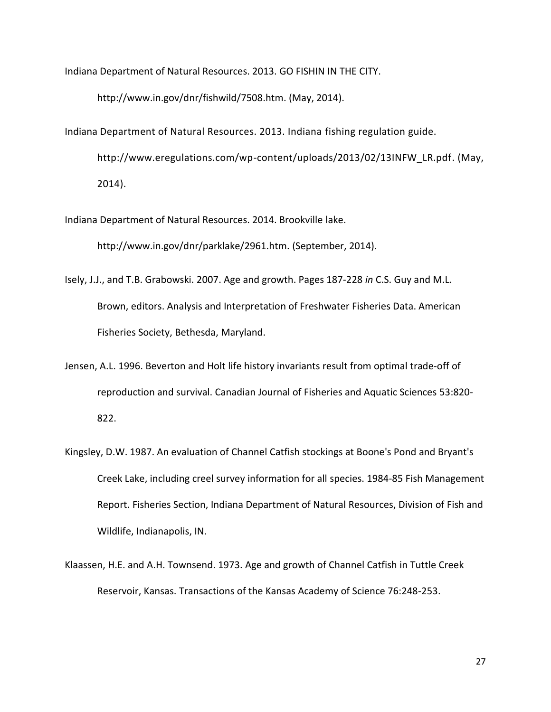Indiana Department of Natural Resources. 2013. GO FISHIN IN THE CITY.

http://www.in.gov/dnr/fishwild/7508.htm. (May, 2014).

Indiana Department of Natural Resources. 2013. Indiana fishing regulation guide. http://www.eregulations.com/wp-content/uploads/2013/02/13INFW\_LR.pdf. (May, 2014).

Indiana Department of Natural Resources. 2014. Brookville lake.

http://www.in.gov/dnr/parklake/2961.htm. (September, 2014).

- Isely, J.J., and T.B. Grabowski. 2007. Age and growth. Pages 187-228 *in* C.S. Guy and M.L. Brown, editors. Analysis and Interpretation of Freshwater Fisheries Data. American Fisheries Society, Bethesda, Maryland.
- Jensen, A.L. 1996. Beverton and Holt life history invariants result from optimal trade-off of reproduction and survival. Canadian Journal of Fisheries and Aquatic Sciences 53:820- 822.
- Kingsley, D.W. 1987. An evaluation of Channel Catfish stockings at Boone's Pond and Bryant's Creek Lake, including creel survey information for all species. 1984-85 Fish Management Report. Fisheries Section, Indiana Department of Natural Resources, Division of Fish and Wildlife, Indianapolis, IN.
- Klaassen, H.E. and A.H. Townsend. 1973. Age and growth of Channel Catfish in Tuttle Creek Reservoir, Kansas. Transactions of the Kansas Academy of Science 76:248-253.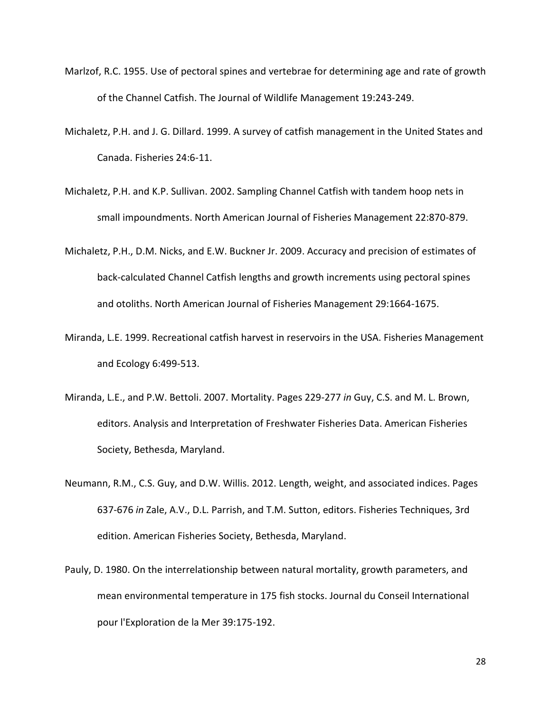- Marlzof, R.C. 1955. Use of pectoral spines and vertebrae for determining age and rate of growth of the Channel Catfish. The Journal of Wildlife Management 19:243-249.
- Michaletz, P.H. and J. G. Dillard. 1999. A survey of catfish management in the United States and Canada. Fisheries 24:6-11.
- Michaletz, P.H. and K.P. Sullivan. 2002. Sampling Channel Catfish with tandem hoop nets in small impoundments. North American Journal of Fisheries Management 22:870-879.
- Michaletz, P.H., D.M. Nicks, and E.W. Buckner Jr. 2009. Accuracy and precision of estimates of back-calculated Channel Catfish lengths and growth increments using pectoral spines and otoliths. North American Journal of Fisheries Management 29:1664-1675.
- Miranda, L.E. 1999. Recreational catfish harvest in reservoirs in the USA. Fisheries Management and Ecology 6:499-513.
- Miranda, L.E., and P.W. Bettoli. 2007. Mortality. Pages 229-277 *in* Guy, C.S. and M. L. Brown, editors. Analysis and Interpretation of Freshwater Fisheries Data. American Fisheries Society, Bethesda, Maryland.
- Neumann, R.M., C.S. Guy, and D.W. Willis. 2012. Length, weight, and associated indices. Pages 637-676 *in* Zale, A.V., D.L. Parrish, and T.M. Sutton, editors. Fisheries Techniques, 3rd edition. American Fisheries Society, Bethesda, Maryland.
- Pauly, D. 1980. On the interrelationship between natural mortality, growth parameters, and mean environmental temperature in 175 fish stocks. Journal du Conseil International pour l'Exploration de la Mer 39:175-192.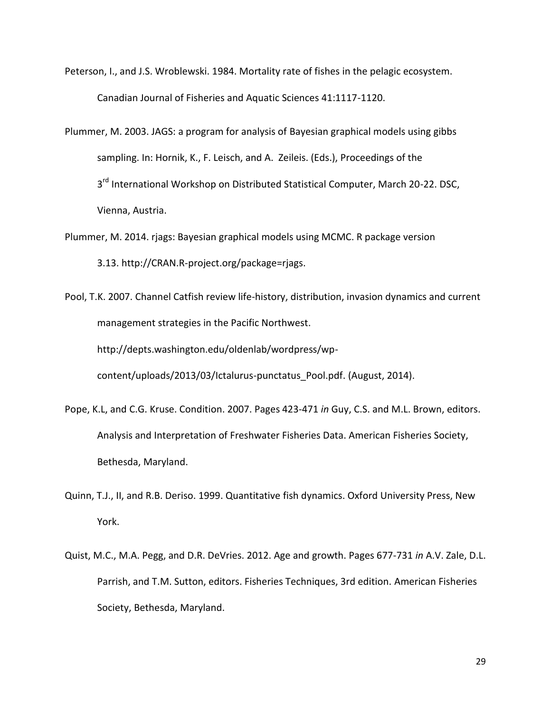- Peterson, I., and J.S. Wroblewski. 1984. Mortality rate of fishes in the pelagic ecosystem. Canadian Journal of Fisheries and Aquatic Sciences 41:1117-1120.
- Plummer, M. 2003. JAGS: a program for analysis of Bayesian graphical models using gibbs sampling. In: Hornik, K., F. Leisch, and A. Zeileis. (Eds.), Proceedings of the 3<sup>rd</sup> International Workshop on Distributed Statistical Computer, March 20-22. DSC, Vienna, Austria.
- Plummer, M. 2014. rjags: Bayesian graphical models using MCMC. R package version 3.13. http://CRAN.R-project.org/package=rjags.
- Pool, T.K. 2007. Channel Catfish review life-history, distribution, invasion dynamics and current management strategies in the Pacific Northwest.

http://depts.washington.edu/oldenlab/wordpress/wp-

content/uploads/2013/03/Ictalurus-punctatus\_Pool.pdf. (August, 2014).

- Pope, K.L, and C.G. Kruse. Condition. 2007. Pages 423-471 *in* Guy, C.S. and M.L. Brown, editors. Analysis and Interpretation of Freshwater Fisheries Data. American Fisheries Society, Bethesda, Maryland.
- Quinn, T.J., II, and R.B. Deriso. 1999. Quantitative fish dynamics. Oxford University Press, New York.
- Quist, M.C., M.A. Pegg, and D.R. DeVries. 2012. Age and growth. Pages 677-731 *in* A.V. Zale, D.L. Parrish, and T.M. Sutton, editors. Fisheries Techniques, 3rd edition. American Fisheries Society, Bethesda, Maryland.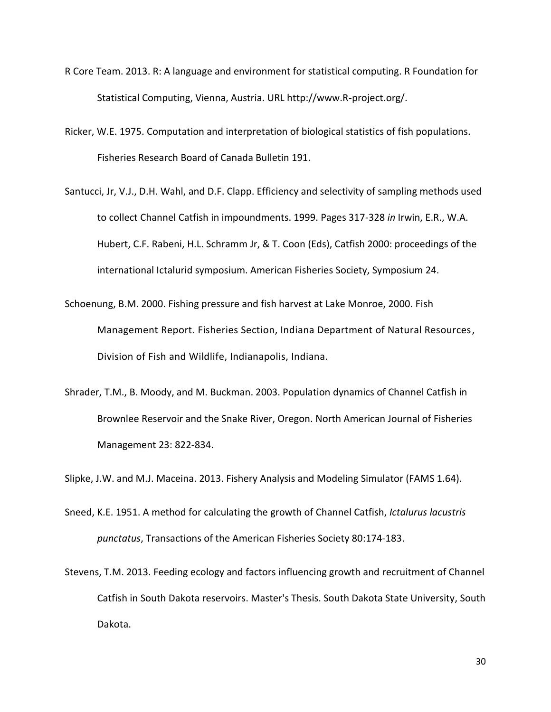- R Core Team. 2013. R: A language and environment for statistical computing. R Foundation for Statistical Computing, Vienna, Austria. URL http://www.R-project.org/.
- Ricker, W.E. 1975. Computation and interpretation of biological statistics of fish populations. Fisheries Research Board of Canada Bulletin 191.
- Santucci, Jr, V.J., D.H. Wahl, and D.F. Clapp. Efficiency and selectivity of sampling methods used to collect Channel Catfish in impoundments. 1999. Pages 317-328 *in* Irwin, E.R., W.A. Hubert, C.F. Rabeni, H.L. Schramm Jr, & T. Coon (Eds), Catfish 2000: proceedings of the international Ictalurid symposium. American Fisheries Society, Symposium 24.
- Schoenung, B.M. 2000. Fishing pressure and fish harvest at Lake Monroe, 2000. Fish Management Report. Fisheries Section, Indiana Department of Natural Resources, Division of Fish and Wildlife, Indianapolis, Indiana.
- Shrader, T.M., B. Moody, and M. Buckman. 2003. Population dynamics of Channel Catfish in Brownlee Reservoir and the Snake River, Oregon. North American Journal of Fisheries Management 23: 822-834.

Slipke, J.W. and M.J. Maceina. 2013. Fishery Analysis and Modeling Simulator (FAMS 1.64).

- Sneed, K.E. 1951. A method for calculating the growth of Channel Catfish, *Ictalurus lacustris punctatus*, Transactions of the American Fisheries Society 80:174-183.
- Stevens, T.M. 2013. Feeding ecology and factors influencing growth and recruitment of Channel Catfish in South Dakota reservoirs. Master's Thesis. South Dakota State University, South Dakota.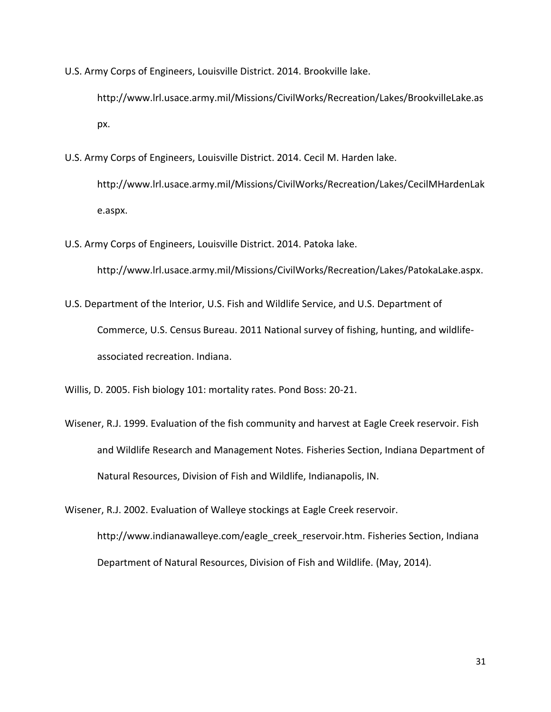U.S. Army Corps of Engineers, Louisville District. 2014. Brookville lake.

http://www.lrl.usace.army.mil/Missions/CivilWorks/Recreation/Lakes/BrookvilleLake.as px.

U.S. Army Corps of Engineers, Louisville District. 2014. Cecil M. Harden lake.

http://www.lrl.usace.army.mil/Missions/CivilWorks/Recreation/Lakes/CecilMHardenLak e.aspx.

U.S. Army Corps of Engineers, Louisville District. 2014. Patoka lake.

http://www.lrl.usace.army.mil/Missions/CivilWorks/Recreation/Lakes/PatokaLake.aspx.

U.S. Department of the Interior, U.S. Fish and Wildlife Service, and U.S. Department of Commerce, U.S. Census Bureau. 2011 National survey of fishing, hunting, and wildlifeassociated recreation. Indiana.

Willis, D. 2005. Fish biology 101: mortality rates. Pond Boss: 20-21.

Wisener, R.J. 1999. Evaluation of the fish community and harvest at Eagle Creek reservoir. Fish and Wildlife Research and Management Notes. Fisheries Section, Indiana Department of Natural Resources, Division of Fish and Wildlife, Indianapolis, IN.

Wisener, R.J. 2002. Evaluation of Walleye stockings at Eagle Creek reservoir.

http://www.indianawalleye.com/eagle\_creek\_reservoir.htm. Fisheries Section, Indiana Department of Natural Resources, Division of Fish and Wildlife. (May, 2014).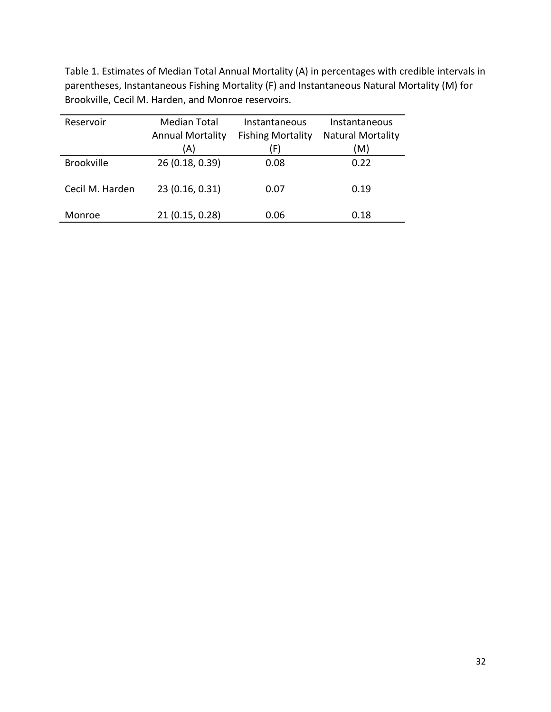Table 1. Estimates of Median Total Annual Mortality (A) in percentages with credible intervals in parentheses, Instantaneous Fishing Mortality (F) and Instantaneous Natural Mortality (M) for Brookville, Cecil M. Harden, and Monroe reservoirs.

| Reservoir         | <b>Median Total</b>     | Instantaneous            | Instantaneous            |
|-------------------|-------------------------|--------------------------|--------------------------|
|                   | <b>Annual Mortality</b> | <b>Fishing Mortality</b> | <b>Natural Mortality</b> |
|                   | (A)                     | (F)                      | (M)                      |
| <b>Brookville</b> | 26 (0.18, 0.39)         | 0.08                     | 0.22                     |
| Cecil M. Harden   | 23 (0.16, 0.31)         | 0.07                     | 0.19                     |
| Monroe            | 21 (0.15, 0.28)         | 0.06                     | 0.18                     |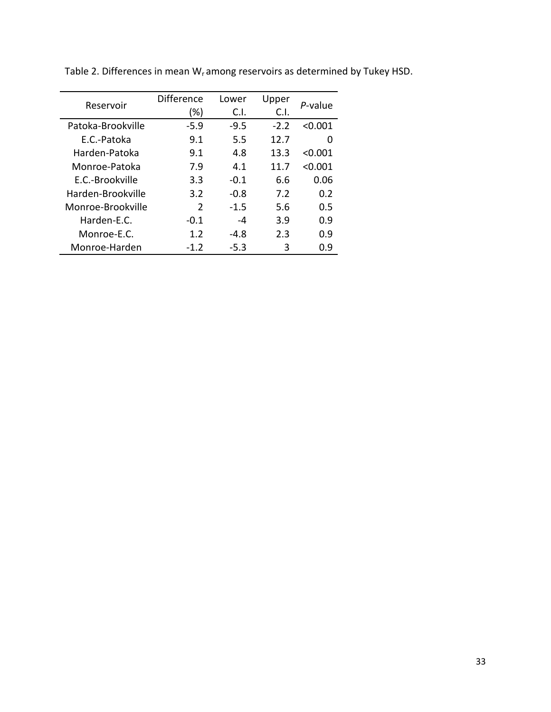|                   | Difference    | Lower  | Upper  | P-value |  |
|-------------------|---------------|--------|--------|---------|--|
| Reservoir         | $(\%)$        | C.I.   | C.I.   |         |  |
| Patoka-Brookville | $-5.9$        | $-9.5$ | $-2.2$ | < 0.001 |  |
| E.C.-Patoka       | 9.1           | 5.5    | 12.7   | O       |  |
| Harden-Patoka     | 9.1           | 4.8    | 13.3   | < 0.001 |  |
| Monroe-Patoka     | 7.9           | 4.1    | 11.7   | < 0.001 |  |
| E.C.-Brookville   | 3.3           | $-0.1$ | 6.6    | 0.06    |  |
| Harden-Brookville | 3.2           | $-0.8$ | 7.2    | 0.2     |  |
| Monroe-Brookville | $\mathcal{P}$ | $-1.5$ | 5.6    | 0.5     |  |
| Harden-E.C.       | $-0.1$        | -4     | 3.9    | 0.9     |  |
| Monroe-F.C.       | 1.2           | $-4.8$ | 2.3    | 0.9     |  |
| Monroe-Harden     | $-1.2$        | $-5.3$ | 3      | በ.ዓ     |  |

Table 2. Differences in mean  $W_r$  among reservoirs as determined by Tukey HSD.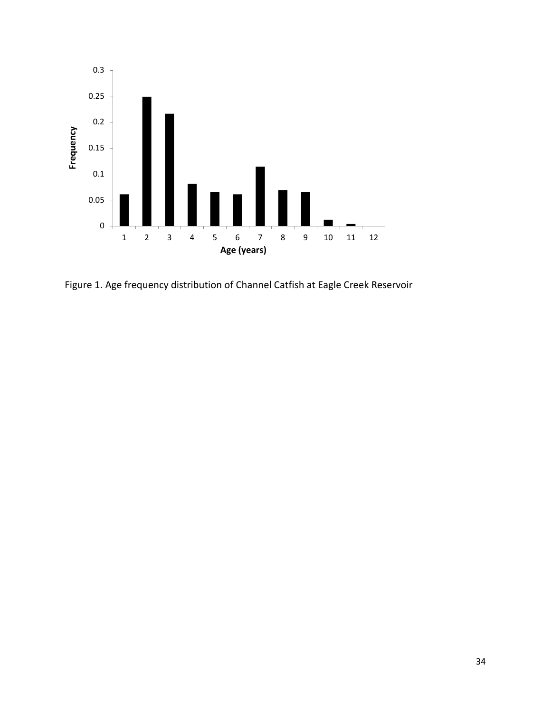

Figure 1. Age frequency distribution of Channel Catfish at Eagle Creek Reservoir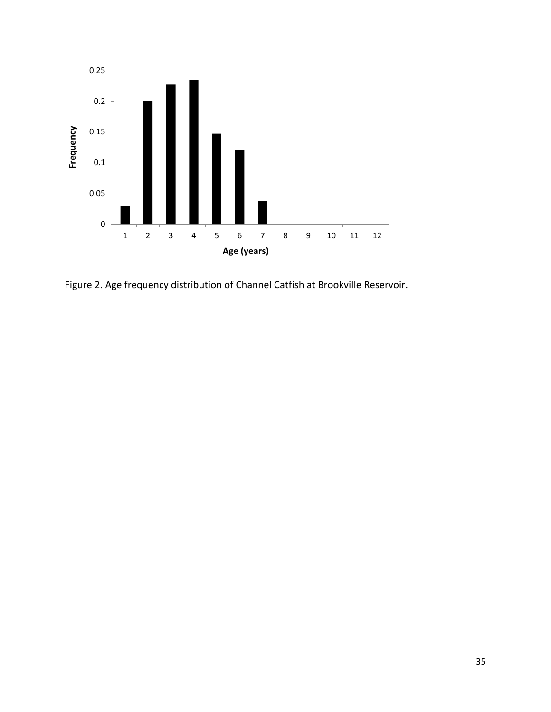

Figure 2. Age frequency distribution of Channel Catfish at Brookville Reservoir.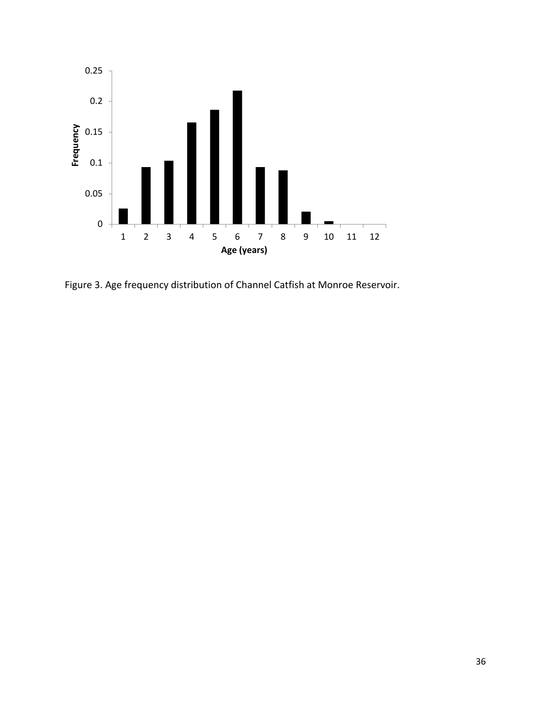

Figure 3. Age frequency distribution of Channel Catfish at Monroe Reservoir.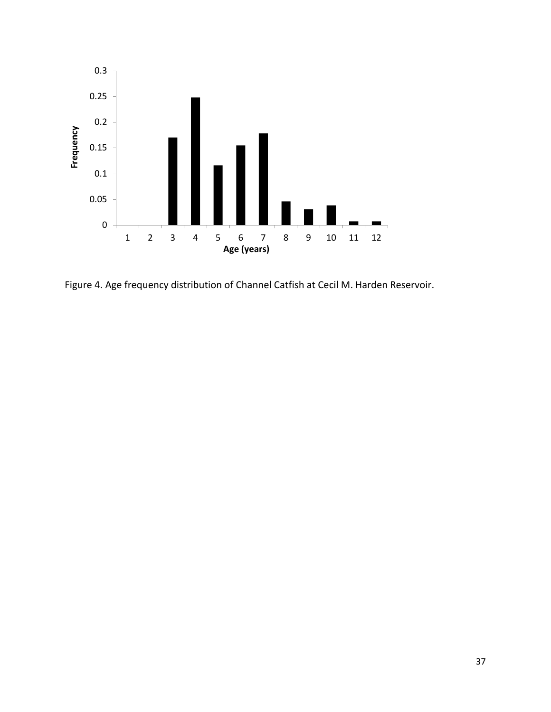

Figure 4. Age frequency distribution of Channel Catfish at Cecil M. Harden Reservoir.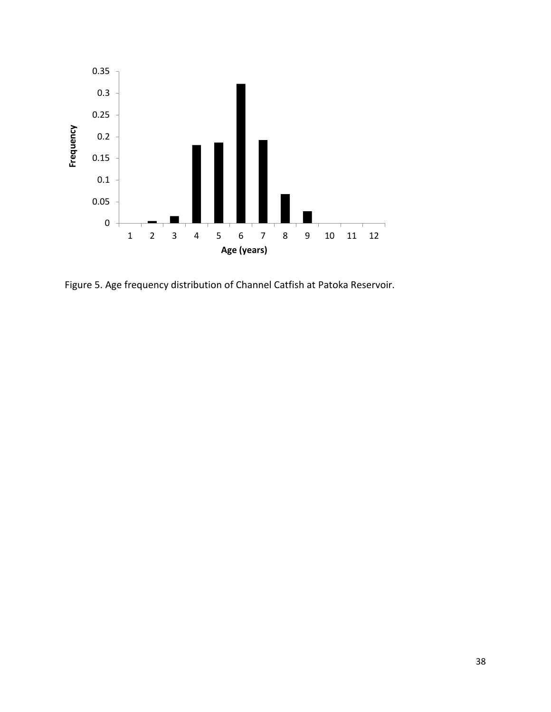

Figure 5. Age frequency distribution of Channel Catfish at Patoka Reservoir.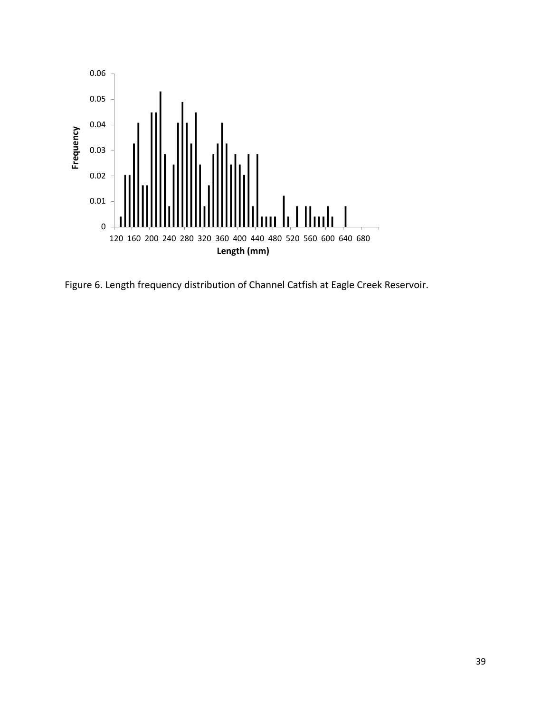

Figure 6. Length frequency distribution of Channel Catfish at Eagle Creek Reservoir.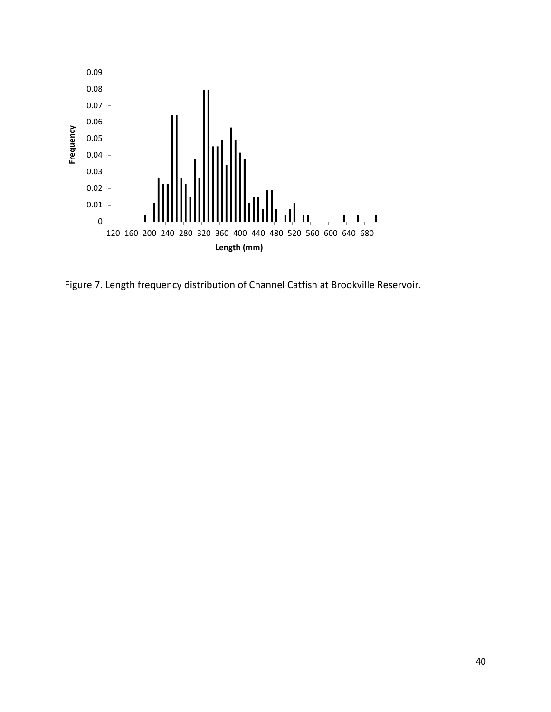

Figure 7. Length frequency distribution of Channel Catfish at Brookville Reservoir.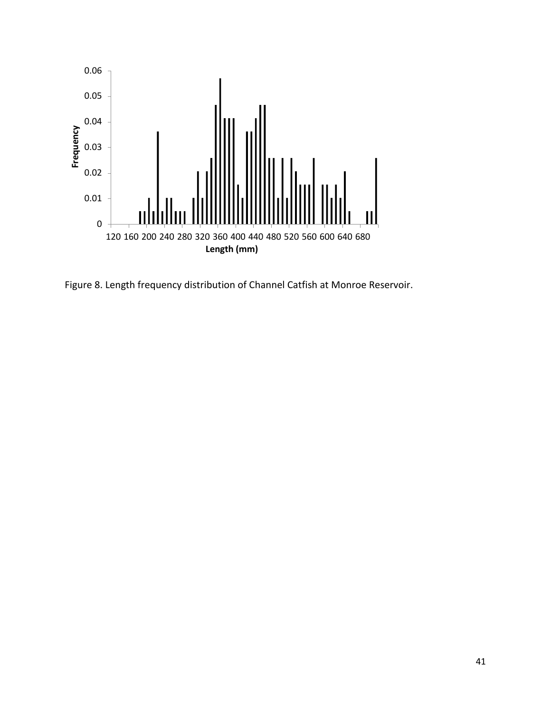

Figure 8. Length frequency distribution of Channel Catfish at Monroe Reservoir.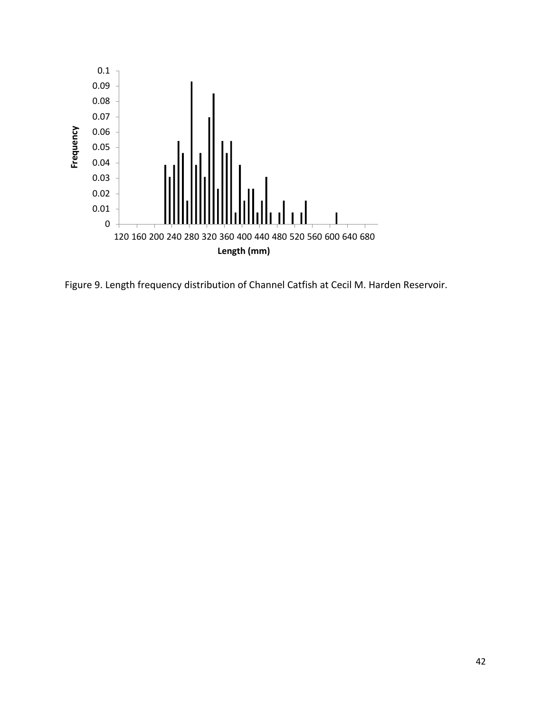

Figure 9. Length frequency distribution of Channel Catfish at Cecil M. Harden Reservoir.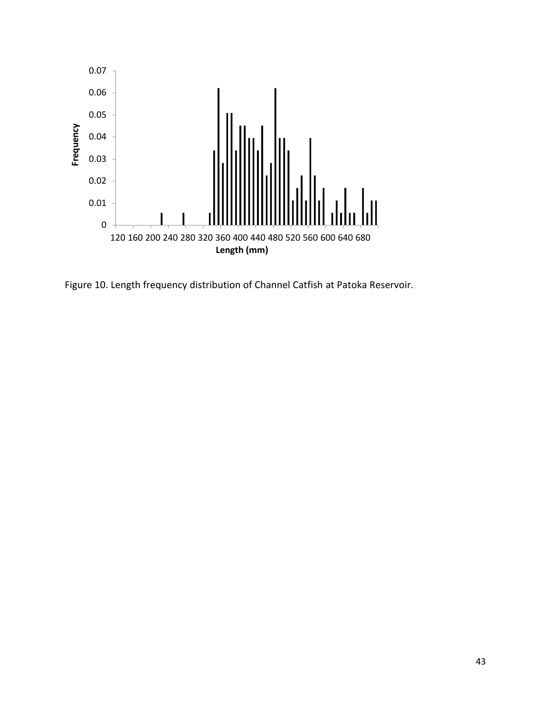

Figure 10. Length frequency distribution of Channel Catfish at Patoka Reservoir.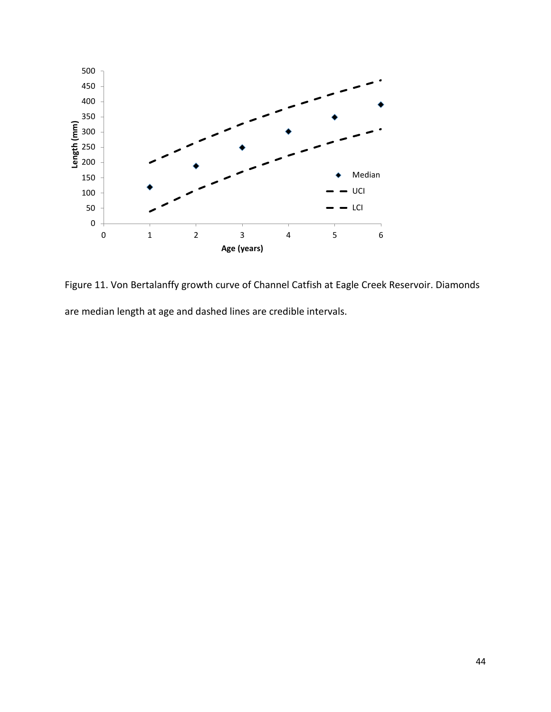

Figure 11. Von Bertalanffy growth curve of Channel Catfish at Eagle Creek Reservoir. Diamonds are median length at age and dashed lines are credible intervals.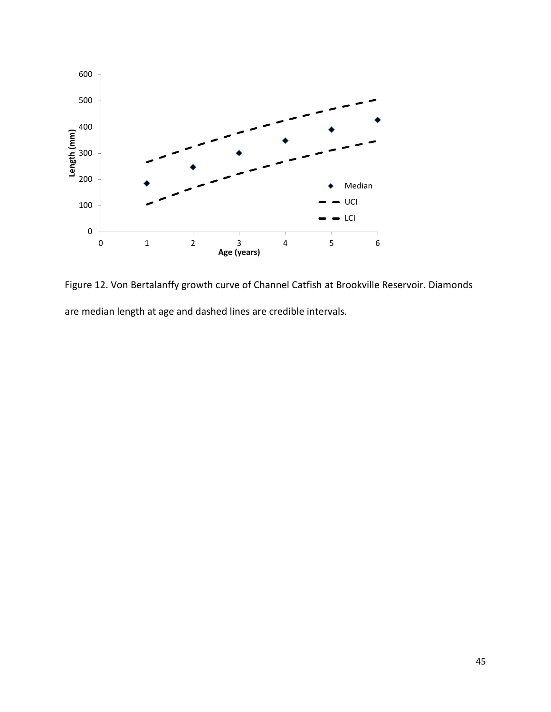

Figure 12. Von Bertalanffy growth curve of Channel Catfish at Brookville Reservoir. Diamonds are median length at age and dashed lines are credible intervals.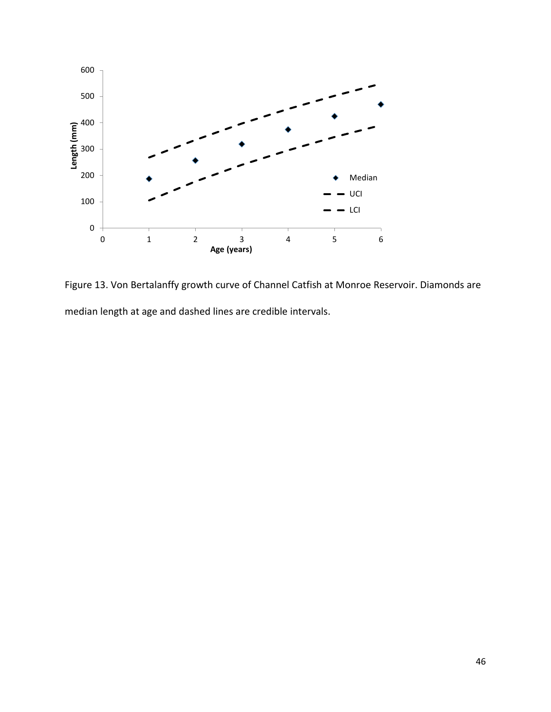

Figure 13. Von Bertalanffy growth curve of Channel Catfish at Monroe Reservoir. Diamonds are median length at age and dashed lines are credible intervals.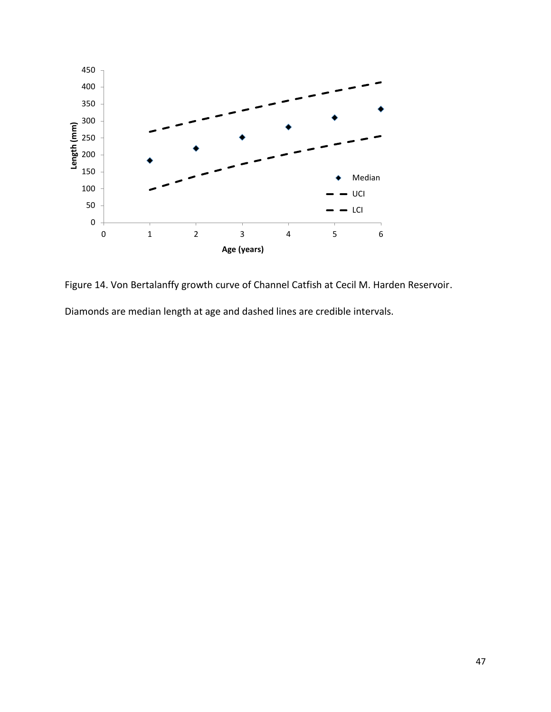

Figure 14. Von Bertalanffy growth curve of Channel Catfish at Cecil M. Harden Reservoir. Diamonds are median length at age and dashed lines are credible intervals.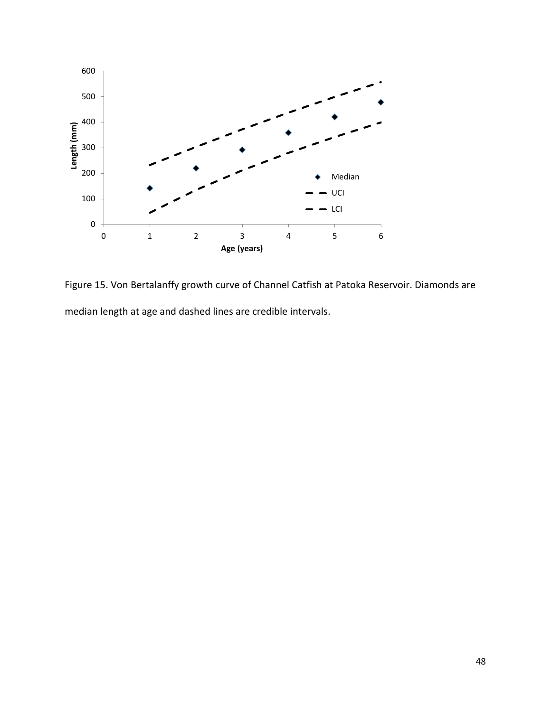

Figure 15. Von Bertalanffy growth curve of Channel Catfish at Patoka Reservoir. Diamonds are median length at age and dashed lines are credible intervals.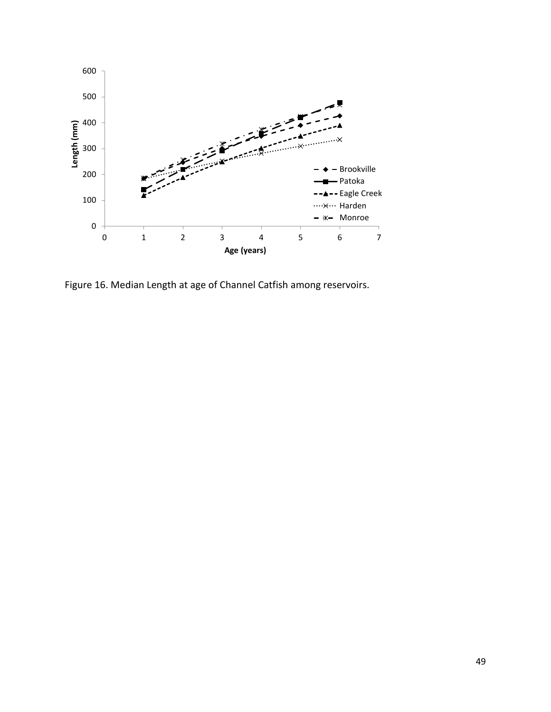

Figure 16. Median Length at age of Channel Catfish among reservoirs.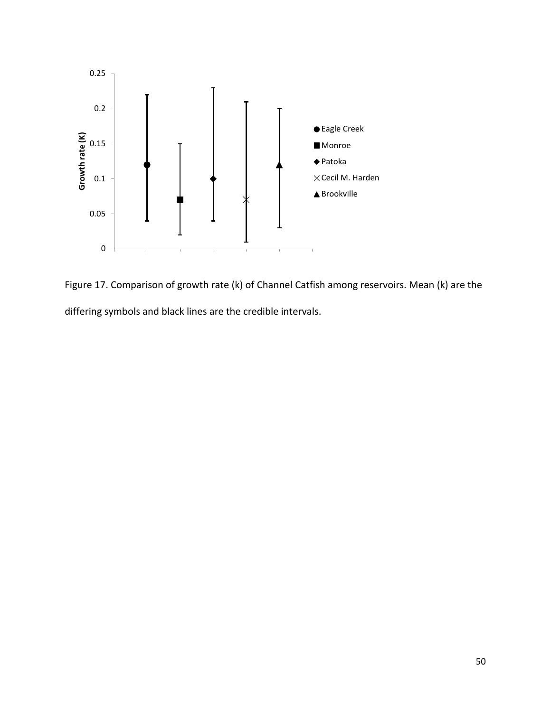

Figure 17. Comparison of growth rate (k) of Channel Catfish among reservoirs. Mean (k) are the differing symbols and black lines are the credible intervals.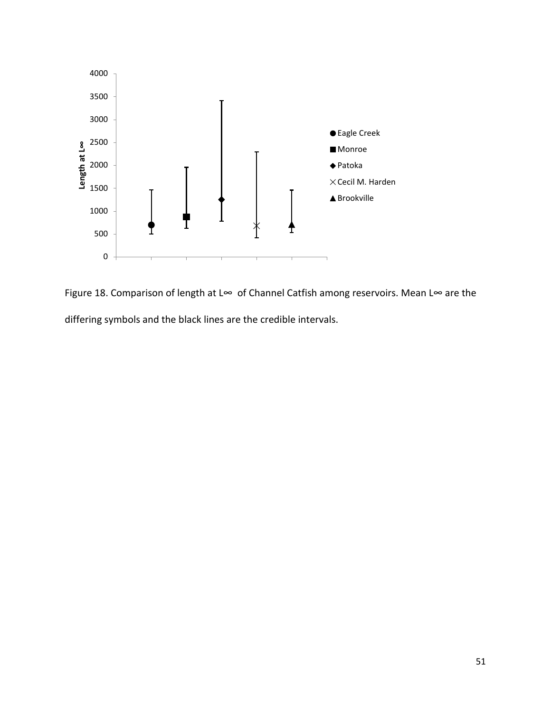

Figure 18. Comparison of length at L∞ of Channel Catfish among reservoirs. Mean L∞ are the differing symbols and the black lines are the credible intervals.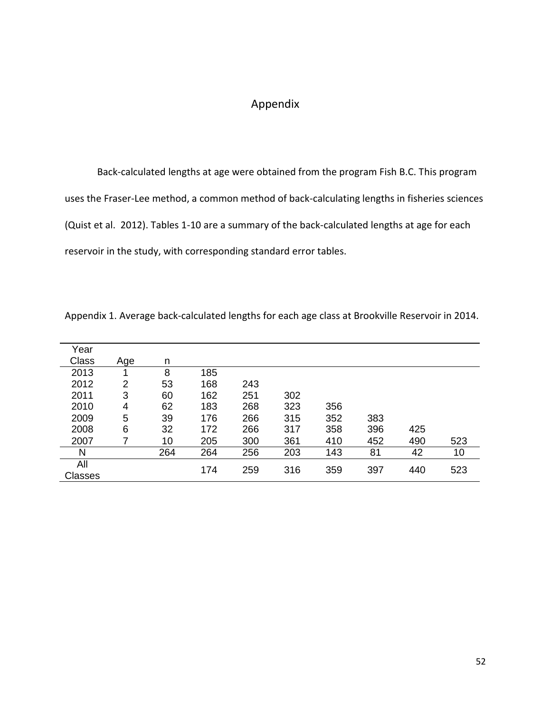# Appendix

Back-calculated lengths at age were obtained from the program Fish B.C. This program uses the Fraser-Lee method, a common method of back-calculating lengths in fisheries sciences (Quist et al. 2012). Tables 1-10 are a summary of the back-calculated lengths at age for each reservoir in the study, with corresponding standard error tables.

| Year           |     |     |     |     |     |     |     |     |     |
|----------------|-----|-----|-----|-----|-----|-----|-----|-----|-----|
| Class          | Age | n   |     |     |     |     |     |     |     |
| 2013           |     | 8   | 185 |     |     |     |     |     |     |
| 2012           | 2   | 53  | 168 | 243 |     |     |     |     |     |
| 2011           | 3   | 60  | 162 | 251 | 302 |     |     |     |     |
| 2010           | 4   | 62  | 183 | 268 | 323 | 356 |     |     |     |
| 2009           | 5   | 39  | 176 | 266 | 315 | 352 | 383 |     |     |
| 2008           | 6   | 32  | 172 | 266 | 317 | 358 | 396 | 425 |     |
| 2007           |     | 10  | 205 | 300 | 361 | 410 | 452 | 490 | 523 |
| N              |     | 264 | 264 | 256 | 203 | 143 | 81  | 42  | 10  |
| All            |     |     | 174 | 259 |     |     | 397 | 440 | 523 |
| <b>Classes</b> |     |     |     |     | 316 | 359 |     |     |     |

Appendix 1. Average back-calculated lengths for each age class at Brookville Reservoir in 2014.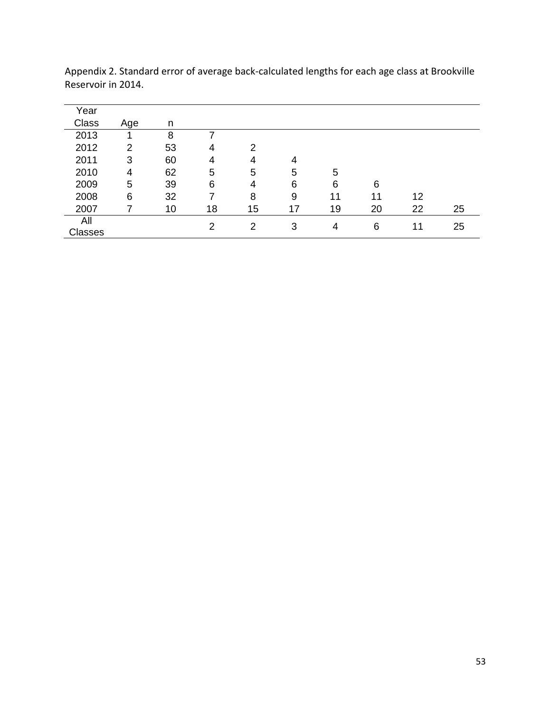| Year    |                |    |    |    |    |    |    |    |    |
|---------|----------------|----|----|----|----|----|----|----|----|
| Class   | Age            | n  |    |    |    |    |    |    |    |
| 2013    | 1              | 8  |    |    |    |    |    |    |    |
| 2012    | $\overline{2}$ | 53 | 4  | 2  |    |    |    |    |    |
| 2011    | 3              | 60 | 4  | 4  | 4  |    |    |    |    |
| 2010    | 4              | 62 | 5  | 5  | 5  | 5  |    |    |    |
| 2009    | 5              | 39 | 6  | 4  | 6  | 6  | 6  |    |    |
| 2008    | 6              | 32 |    | 8  | 9  | 11 | 11 | 12 |    |
| 2007    |                | 10 | 18 | 15 | 17 | 19 | 20 | 22 | 25 |
| All     |                |    | 2  | 2  | 3  | 4  | 6  | 11 | 25 |
| Classes |                |    |    |    |    |    |    |    |    |

Appendix 2. Standard error of average back-calculated lengths for each age class at Brookville Reservoir in 2014.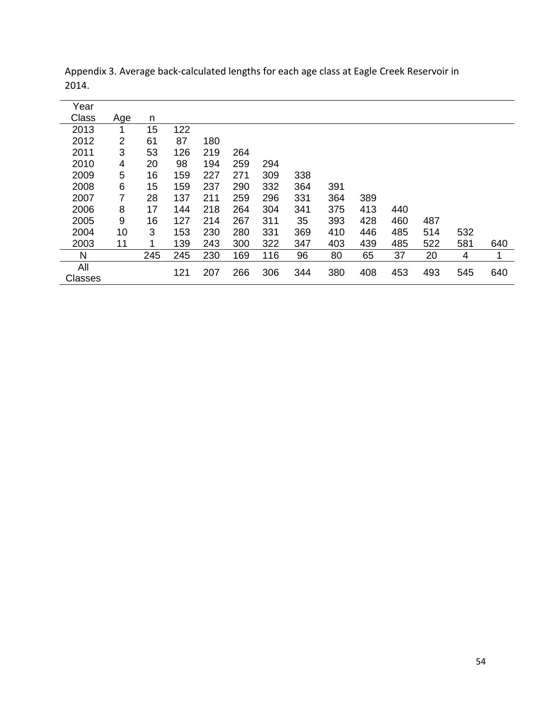| Year           |     |     |     |     |     |     |     |     |     |     |     |     |     |
|----------------|-----|-----|-----|-----|-----|-----|-----|-----|-----|-----|-----|-----|-----|
| <b>Class</b>   | Age | n   |     |     |     |     |     |     |     |     |     |     |     |
| 2013           |     | 15  | 122 |     |     |     |     |     |     |     |     |     |     |
| 2012           | 2   | 61  | 87  | 180 |     |     |     |     |     |     |     |     |     |
| 2011           | 3   | 53  | 126 | 219 | 264 |     |     |     |     |     |     |     |     |
| 2010           | 4   | 20  | 98  | 194 | 259 | 294 |     |     |     |     |     |     |     |
| 2009           | 5   | 16  | 159 | 227 | 271 | 309 | 338 |     |     |     |     |     |     |
| 2008           | 6   | 15  | 159 | 237 | 290 | 332 | 364 | 391 |     |     |     |     |     |
| 2007           | 7   | 28  | 137 | 211 | 259 | 296 | 331 | 364 | 389 |     |     |     |     |
| 2006           | 8   | 17  | 144 | 218 | 264 | 304 | 341 | 375 | 413 | 440 |     |     |     |
| 2005           | 9   | 16  | 127 | 214 | 267 | 311 | 35  | 393 | 428 | 460 | 487 |     |     |
| 2004           | 10  | 3   | 153 | 230 | 280 | 331 | 369 | 410 | 446 | 485 | 514 | 532 |     |
| 2003           | 11  |     | 139 | 243 | 300 | 322 | 347 | 403 | 439 | 485 | 522 | 581 | 640 |
| N              |     | 245 | 245 | 230 | 169 | 116 | 96  | 80  | 65  | 37  | 20  | 4   | 1   |
| All            |     |     | 121 | 207 | 266 | 306 | 344 | 380 | 408 | 453 | 493 | 545 | 640 |
| <b>Classes</b> |     |     |     |     |     |     |     |     |     |     |     |     |     |

Appendix 3. Average back-calculated lengths for each age class at Eagle Creek Reservoir in 2014.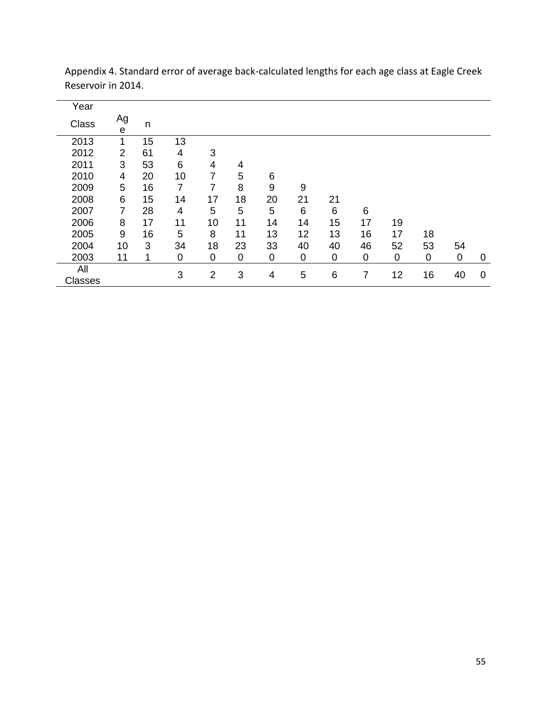| Year           |                                 |    |    |                |    |    |    |    |    |    |    |    |   |
|----------------|---------------------------------|----|----|----------------|----|----|----|----|----|----|----|----|---|
| Class          | Ag<br>$\boldsymbol{\mathsf{e}}$ | n  |    |                |    |    |    |    |    |    |    |    |   |
| 2013           | 1                               | 15 | 13 |                |    |    |    |    |    |    |    |    |   |
| 2012           | $\overline{2}$                  | 61 | 4  | 3              |    |    |    |    |    |    |    |    |   |
| 2011           | 3                               | 53 | 6  | 4              | 4  |    |    |    |    |    |    |    |   |
| 2010           | 4                               | 20 | 10 | 7              | 5  | 6  |    |    |    |    |    |    |   |
| 2009           | 5                               | 16 | 7  | 7              | 8  | 9  | 9  |    |    |    |    |    |   |
| 2008           | 6                               | 15 | 14 | 17             | 18 | 20 | 21 | 21 |    |    |    |    |   |
| 2007           | 7                               | 28 | 4  | 5              | 5  | 5  | 6  | 6  | 6  |    |    |    |   |
| 2006           | 8                               | 17 | 11 | 10             | 11 | 14 | 14 | 15 | 17 | 19 |    |    |   |
| 2005           | 9                               | 16 | 5  | 8              | 11 | 13 | 12 | 13 | 16 | 17 | 18 |    |   |
| 2004           | 10                              | 3  | 34 | 18             | 23 | 33 | 40 | 40 | 46 | 52 | 53 | 54 |   |
| 2003           | 11                              |    | 0  | 0              | 0  | 0  | 0  | 0  | 0  | 0  | 0  | 0  | 0 |
| All<br>Classes |                                 |    | 3  | $\overline{2}$ | 3  | 4  | 5  | 6  | 7  | 12 | 16 | 40 | 0 |

Appendix 4. Standard error of average back-calculated lengths for each age class at Eagle Creek Reservoir in 2014.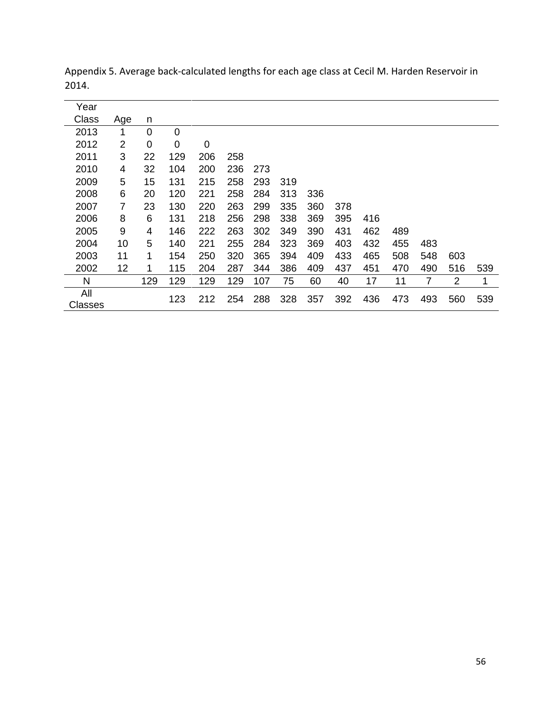| Year    |     |     |     |     |     |     |     |     |     |     |     |     |                |     |
|---------|-----|-----|-----|-----|-----|-----|-----|-----|-----|-----|-----|-----|----------------|-----|
| Class   | Age | n   |     |     |     |     |     |     |     |     |     |     |                |     |
| 2013    |     | 0   | 0   |     |     |     |     |     |     |     |     |     |                |     |
| 2012    | 2   | 0   | 0   | 0   |     |     |     |     |     |     |     |     |                |     |
| 2011    | 3   | 22  | 129 | 206 | 258 |     |     |     |     |     |     |     |                |     |
| 2010    | 4   | 32  | 104 | 200 | 236 | 273 |     |     |     |     |     |     |                |     |
| 2009    | 5   | 15  | 131 | 215 | 258 | 293 | 319 |     |     |     |     |     |                |     |
| 2008    | 6   | 20  | 120 | 221 | 258 | 284 | 313 | 336 |     |     |     |     |                |     |
| 2007    | 7   | 23  | 130 | 220 | 263 | 299 | 335 | 360 | 378 |     |     |     |                |     |
| 2006    | 8   | 6   | 131 | 218 | 256 | 298 | 338 | 369 | 395 | 416 |     |     |                |     |
| 2005    | 9   | 4   | 146 | 222 | 263 | 302 | 349 | 390 | 431 | 462 | 489 |     |                |     |
| 2004    | 10  | 5   | 140 | 221 | 255 | 284 | 323 | 369 | 403 | 432 | 455 | 483 |                |     |
| 2003    | 11  | 1   | 154 | 250 | 320 | 365 | 394 | 409 | 433 | 465 | 508 | 548 | 603            |     |
| 2002    | 12  | 1   | 115 | 204 | 287 | 344 | 386 | 409 | 437 | 451 | 470 | 490 | 516            | 539 |
| N       |     | 129 | 129 | 129 | 129 | 107 | 75  | 60  | 40  | 17  | 11  | 7   | $\overline{2}$ | 1   |
| All     |     |     | 123 | 212 | 254 | 288 | 328 | 357 | 392 | 436 | 473 | 493 | 560            | 539 |
| Classes |     |     |     |     |     |     |     |     |     |     |     |     |                |     |

Appendix 5. Average back-calculated lengths for each age class at Cecil M. Harden Reservoir in 2014.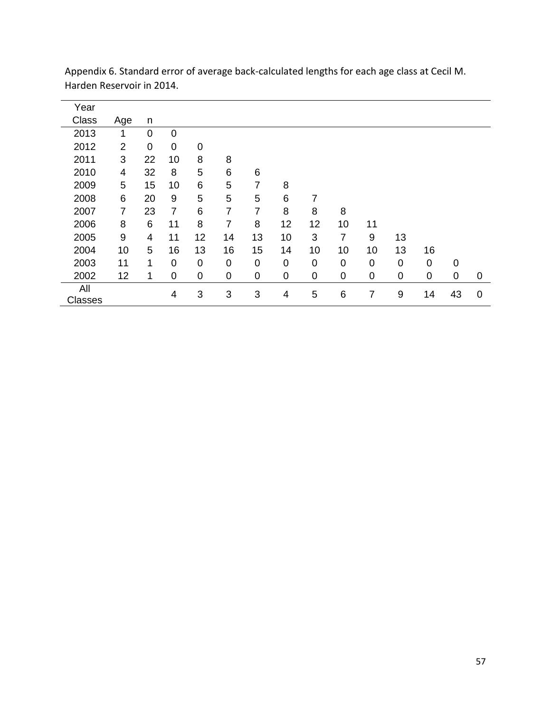| Year                  |                |                |                |    |             |    |    |    |             |    |             |             |             |             |
|-----------------------|----------------|----------------|----------------|----|-------------|----|----|----|-------------|----|-------------|-------------|-------------|-------------|
| Class                 | Age            | n              |                |    |             |    |    |    |             |    |             |             |             |             |
| 2013                  | 1              | $\overline{0}$ | $\mathbf 0$    |    |             |    |    |    |             |    |             |             |             |             |
| 2012                  | $\overline{2}$ | $\overline{0}$ | 0              | 0  |             |    |    |    |             |    |             |             |             |             |
| 2011                  | 3              | 22             | 10             | 8  | 8           |    |    |    |             |    |             |             |             |             |
| 2010                  | 4              | 32             | 8              | 5  | 6           | 6  |    |    |             |    |             |             |             |             |
| 2009                  | 5              | 15             | 10             | 6  | 5           | 7  | 8  |    |             |    |             |             |             |             |
| 2008                  | 6              | 20             | 9              | 5  | 5           | 5  | 6  | 7  |             |    |             |             |             |             |
| 2007                  | $\overline{7}$ | 23             | $\overline{7}$ | 6  | 7           | 7  | 8  | 8  | 8           |    |             |             |             |             |
| 2006                  | 8              | 6              | 11             | 8  | 7           | 8  | 12 | 12 | 10          | 11 |             |             |             |             |
| 2005                  | 9              | 4              | 11             | 12 | 14          | 13 | 10 | 3  | 7           | 9  | 13          |             |             |             |
| 2004                  | 10             | 5              | 16             | 13 | 16          | 15 | 14 | 10 | 10          | 10 | 13          | 16          |             |             |
| 2003                  | 11             | 1              | 0              | 0  | $\mathbf 0$ | 0  | 0  | 0  | 0           | 0  | 0           | 0           | 0           |             |
| 2002                  | 12             | 1              | $\mathbf 0$    | 0  | $\mathbf 0$ | 0  | 0  | 0  | $\mathbf 0$ | 0  | $\mathbf 0$ | $\mathbf 0$ | $\mathbf 0$ | $\mathbf 0$ |
| All<br><b>Classes</b> |                |                | 4              | 3  | 3           | 3  | 4  | 5  | 6           | 7  | 9           | 14          | 43          | $\mathbf 0$ |

Appendix 6. Standard error of average back-calculated lengths for each age class at Cecil M. Harden Reservoir in 2014.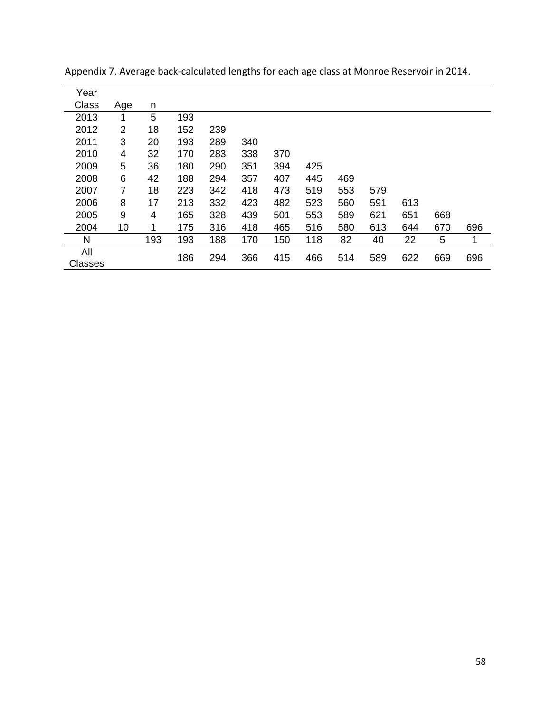| Year           |                |     |     |     |     |     |     |     |     |     |     |     |
|----------------|----------------|-----|-----|-----|-----|-----|-----|-----|-----|-----|-----|-----|
| Class          | Age            | n   |     |     |     |     |     |     |     |     |     |     |
| 2013           | 1              | 5   | 193 |     |     |     |     |     |     |     |     |     |
| 2012           | $\overline{2}$ | 18  | 152 | 239 |     |     |     |     |     |     |     |     |
| 2011           | 3              | 20  | 193 | 289 | 340 |     |     |     |     |     |     |     |
| 2010           | 4              | 32  | 170 | 283 | 338 | 370 |     |     |     |     |     |     |
| 2009           | 5              | 36  | 180 | 290 | 351 | 394 | 425 |     |     |     |     |     |
| 2008           | 6              | 42  | 188 | 294 | 357 | 407 | 445 | 469 |     |     |     |     |
| 2007           | 7              | 18  | 223 | 342 | 418 | 473 | 519 | 553 | 579 |     |     |     |
| 2006           | 8              | 17  | 213 | 332 | 423 | 482 | 523 | 560 | 591 | 613 |     |     |
| 2005           | 9              | 4   | 165 | 328 | 439 | 501 | 553 | 589 | 621 | 651 | 668 |     |
| 2004           | 10             | 1   | 175 | 316 | 418 | 465 | 516 | 580 | 613 | 644 | 670 | 696 |
| N              |                | 193 | 193 | 188 | 170 | 150 | 118 | 82  | 40  | 22  | 5   | 1   |
| All<br>Classes |                |     | 186 | 294 | 366 | 415 | 466 | 514 | 589 | 622 | 669 | 696 |

Appendix 7. Average back-calculated lengths for each age class at Monroe Reservoir in 2014.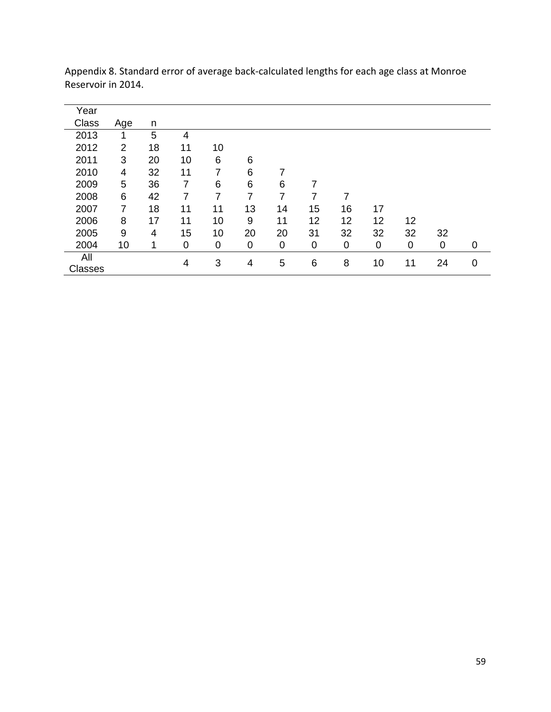| Year           |                |    |    |    |    |    |    |    |    |    |    |             |
|----------------|----------------|----|----|----|----|----|----|----|----|----|----|-------------|
| Class          | Age            | n  |    |    |    |    |    |    |    |    |    |             |
| 2013           | 1              | 5  | 4  |    |    |    |    |    |    |    |    |             |
| 2012           | $\overline{2}$ | 18 | 11 | 10 |    |    |    |    |    |    |    |             |
| 2011           | 3              | 20 | 10 | 6  | 6  |    |    |    |    |    |    |             |
| 2010           | 4              | 32 | 11 | 7  | 6  |    |    |    |    |    |    |             |
| 2009           | 5              | 36 | 7  | 6  | 6  | 6  | 7  |    |    |    |    |             |
| 2008           | 6              | 42 | 7  | 7  | 7  | 7  | 7  | 7  |    |    |    |             |
| 2007           | 7              | 18 | 11 | 11 | 13 | 14 | 15 | 16 | 17 |    |    |             |
| 2006           | 8              | 17 | 11 | 10 | 9  | 11 | 12 | 12 | 12 | 12 |    |             |
| 2005           | 9              | 4  | 15 | 10 | 20 | 20 | 31 | 32 | 32 | 32 | 32 |             |
| 2004           | 10             |    | 0  | 0  | 0  | 0  | 0  | 0  | 0  | 0  | 0  | 0           |
| All            |                |    | 4  | 3  | 4  | 5  | 6  | 8  | 10 | 11 | 24 | $\mathbf 0$ |
| <b>Classes</b> |                |    |    |    |    |    |    |    |    |    |    |             |

Appendix 8. Standard error of average back-calculated lengths for each age class at Monroe Reservoir in 2014.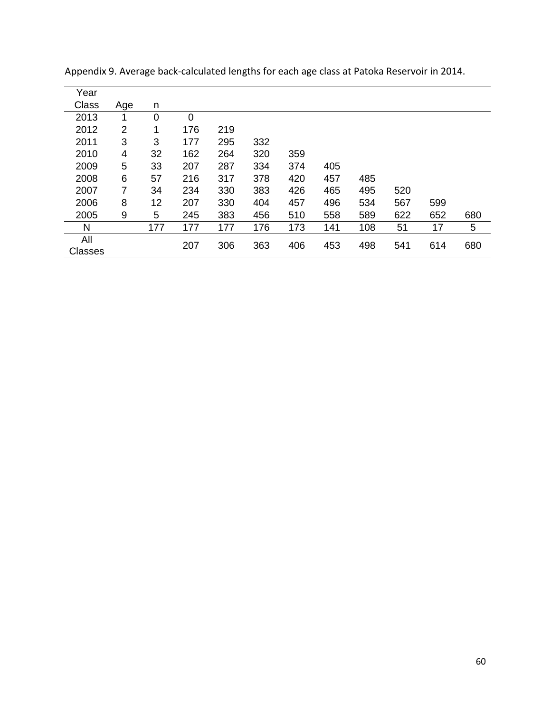| Year           |                |     |             |     |     |     |     |     |     |     |     |
|----------------|----------------|-----|-------------|-----|-----|-----|-----|-----|-----|-----|-----|
| Class          | Age            | n   |             |     |     |     |     |     |     |     |     |
| 2013           | 1              | 0   | $\mathbf 0$ |     |     |     |     |     |     |     |     |
| 2012           | $\overline{2}$ | 1   | 176         | 219 |     |     |     |     |     |     |     |
| 2011           | 3              | 3   | 177         | 295 | 332 |     |     |     |     |     |     |
| 2010           | 4              | 32  | 162         | 264 | 320 | 359 |     |     |     |     |     |
| 2009           | 5              | 33  | 207         | 287 | 334 | 374 | 405 |     |     |     |     |
| 2008           | 6              | 57  | 216         | 317 | 378 | 420 | 457 | 485 |     |     |     |
| 2007           | 7              | 34  | 234         | 330 | 383 | 426 | 465 | 495 | 520 |     |     |
| 2006           | 8              | 12  | 207         | 330 | 404 | 457 | 496 | 534 | 567 | 599 |     |
| 2005           | 9              | 5   | 245         | 383 | 456 | 510 | 558 | 589 | 622 | 652 | 680 |
| N              |                | 177 | 177         | 177 | 176 | 173 | 141 | 108 | 51  | 17  | 5   |
| All<br>Classes |                |     | 207         | 306 | 363 | 406 | 453 | 498 | 541 | 614 | 680 |

Appendix 9. Average back-calculated lengths for each age class at Patoka Reservoir in 2014.